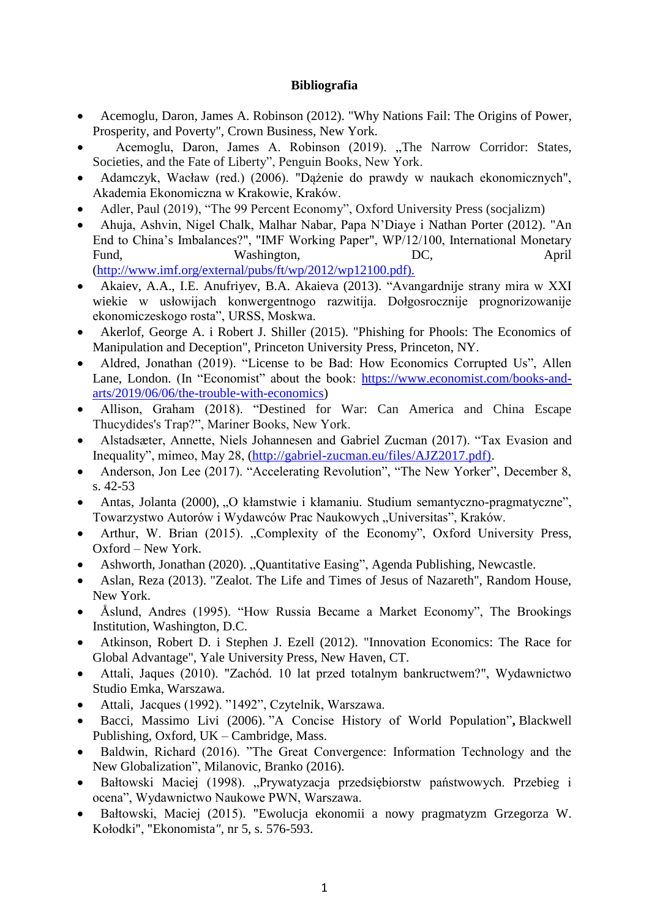## **Bibliografia**

- Acemoglu, Daron, James A. Robinson (2012). "Why Nations Fail: The Origins of Power, Prosperity, and Poverty", Crown Business, New York.
- Acemoglu, Daron, James A. Robinson (2019). "The Narrow Corridor: States, Societies, and the Fate of Liberty", Penguin Books, New York.
- Adamczyk, Wacław (red.) (2006). "Dążenie do prawdy w naukach ekonomicznych", Akademia Ekonomiczna w Krakowie, Kraków.
- Adler, Paul (2019), "The 99 Percent Economy", Oxford University Press (socjalizm)
- Ahuja, Ashvin, Nigel Chalk, Malhar Nabar, Papa N'Diaye i Nathan Porter (2012). "An End to China's Imbalances?", "IMF Working Paper", WP/12/100, International Monetary Fund, Washington, DC, April [\(http://www.imf.org/external/pubs/ft/wp/2012/wp12100.pdf\).](http://www.imf.org/external/pubs/ft/wp/2012/wp12100.pdf))
- Akaiev, A.A., I.E. Anufriyev, B.A. Akaieva (2013). "Avangardnije strany mira w XXI wiekie w usłowijach konwergentnogo razwitija. Dołgosrocznije prognorizowanije ekonomiczeskogo rosta", URSS, Moskwa.
- Akerlof, George A. i Robert J. Shiller (2015). "Phishing for Phools: The Economics of Manipulation and Deception", Princeton University Press, Princeton, NY.
- Aldred, Jonathan (2019). "License to be Bad: How Economics Corrupted Us", Allen Lane, London. (In "Economist" about the book: [https://www.economist.com/books-and](https://www.economist.com/books-and-arts/2019/06/06/the-trouble-with-economics)[arts/2019/06/06/the-trouble-with-economics\)](https://www.economist.com/books-and-arts/2019/06/06/the-trouble-with-economics)
- Allison, Graham (2018). "Destined for War: Can America and China Escape Thucydides's Trap?", Mariner Books, New York.
- Alstadsæter, Annette, Niels Johannesen and Gabriel Zucman (2017). "Tax Evasion and Inequality", mimeo, May 28, [\(http://gabriel-zucman.eu/files/AJZ2017.pdf\).](http://gabriel-zucman.eu/files/AJZ2017.pdf))
- Anderson, Jon Lee (2017). "Accelerating Revolution", "The New Yorker", December 8, s. 42-53
- Antas, Jolanta (2000), "O kłamstwie i kłamaniu. Studium semantyczno-pragmatyczne", Towarzystwo Autorów i Wydawców Prac Naukowych "Universitas", Kraków.
- Arthur, W. Brian (2015). "Complexity of the Economy", Oxford University Press, Oxford – New York.
- Ashworth, Jonathan (2020). "Quantitative Easing", Agenda Publishing, Newcastle.
- Aslan, Reza (2013). "Zealot. The Life and Times of Jesus of Nazareth", Random House, New York.
- Åslund, Andres (1995). "How Russia Became a Market Economy", The Brookings Institution, Washington, D.C.
- Atkinson, Robert D. i Stephen J. Ezell (2012). "Innovation Economics: The Race for Global Advantage", Yale University Press, New Haven, CT.
- Attali, Jaques (2010). "Zachód. 10 lat przed totalnym bankructwem?", Wydawnictwo Studio Emka, Warszawa.
- Attali, Jacques (1992). "1492", Czytelnik, Warszawa.
- Bacci, Massimo Livi (2006). "A Concise History of World Population"**,** Blackwell Publishing, Oxford, UK – Cambridge, Mass.
- Baldwin, Richard (2016). "The Great Convergence: Information Technology and the New Globalization", Milanovic, Branko (2016).
- Bałtowski Maciej (1998). "Prywatyzacja przedsiębiorstw państwowych. Przebieg i ocena", Wydawnictwo Naukowe PWN, Warszawa.
- Bałtowski, Maciej (2015). "Ewolucja ekonomii a nowy pragmatyzm Grzegorza W. Kołodki", "Ekonomista*",* nr 5, s. 576-593.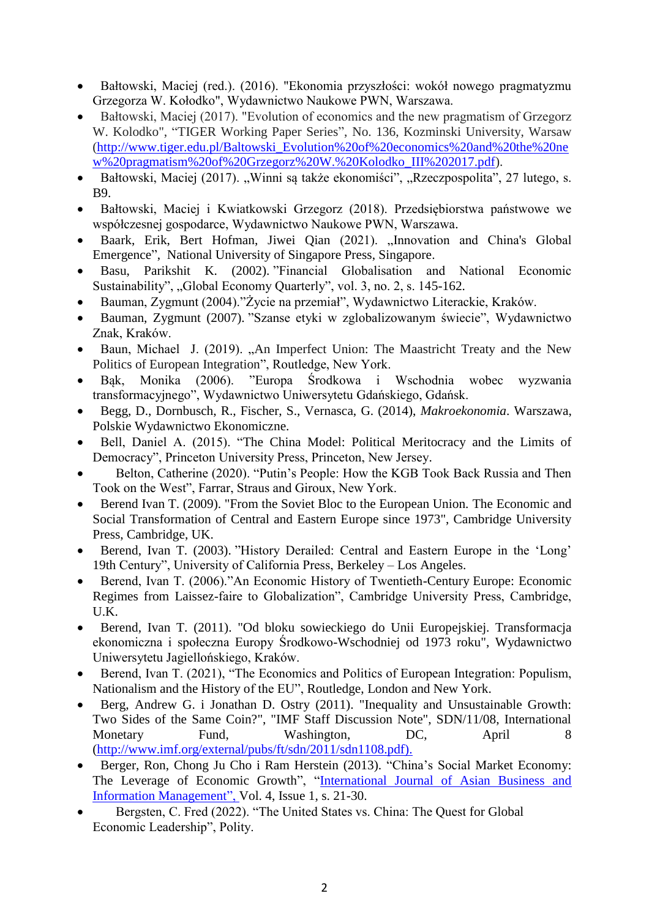- Bałtowski, Maciej (red.). (2016). "Ekonomia przyszłości: wokół nowego pragmatyzmu Grzegorza W. Kołodko", Wydawnictwo Naukowe PWN, Warszawa.
- Bałtowski, Maciej (2017). "Evolution of economics and the new pragmatism of Grzegorz W. Kolodko", "TIGER Working Paper Series", No. 136, Kozminski University, Warsaw [\(http://www.tiger.edu.pl/Baltowski\\_Evolution%20of%20economics%20and%20the%20ne](http://www.tiger.edu.pl/Baltowski_Evolution%20of%20economics%20and%20the%20new%20pragmatism%20of%20Grzegorz%20W.%20Kolodko_III%202017.pdf) [w%20pragmatism%20of%20Grzegorz%20W.%20Kolodko\\_III%202017.pdf\)](http://www.tiger.edu.pl/Baltowski_Evolution%20of%20economics%20and%20the%20new%20pragmatism%20of%20Grzegorz%20W.%20Kolodko_III%202017.pdf).
- Bałtowski, Maciej (2017). "Winni są także ekonomiści", "Rzeczpospolita", 27 lutego, s. B9.
- Bałtowski, Maciej i Kwiatkowski Grzegorz (2018). Przedsiębiorstwa państwowe we współczesnej gospodarce, Wydawnictwo Naukowe PWN, Warszawa.
- Baark, Erik, Bert Hofman, Jiwei Qian (2021). "Innovation and China's Global Emergence", National University of Singapore Press, Singapore.
- Basu, Parikshit K. (2002). "Financial Globalisation and National Economic Sustainability", "Global Economy Quarterly", vol. 3, no. 2, s. 145-162.
- Bauman, Zygmunt (2004)."Życie na przemiał", Wydawnictwo Literackie, Kraków.
- Bauman, Zygmunt (2007). "Szanse etyki w zglobalizowanym świecie", Wydawnictwo Znak, Kraków.
- Baun, Michael J. (2019). "An Imperfect Union: The Maastricht Treaty and the New Politics of European Integration", Routledge, New York.
- Bąk, Monika (2006). "Europa Środkowa i Wschodnia wobec wyzwania transformacyjnego", Wydawnictwo Uniwersytetu Gdańskiego, Gdańsk.
- Begg, D., Dornbusch, R., Fischer, S., Vernasca, G. (2014), *Makroekonomia*. Warszawa, Polskie Wydawnictwo Ekonomiczne.
- Bell, Daniel A. (2015). "The China Model: Political Meritocracy and the Limits of Democracy", Princeton University Press, Princeton, New Jersey.
- Belton, Catherine (2020). "Putin's People: How the KGB Took Back Russia and Then Took on the West", Farrar, Straus and Giroux, New York.
- Berend Ivan T. (2009). "From the Soviet Bloc to the European Union. The Economic and Social Transformation of Central and Eastern Europe since 1973", Cambridge University Press, Cambridge, UK.
- Berend, Ivan T. (2003). "History Derailed: Central and Eastern Europe in the 'Long' 19th Century", University of California Press, Berkeley – Los Angeles.
- Berend, Ivan T. (2006)."An Economic History of Twentieth-Century Europe: Economic Regimes from Laissez-faire to Globalization", Cambridge University Press, Cambridge, U.K.
- Berend, Ivan T. (2011). "Od bloku sowieckiego do Unii Europejskiej. Transformacja ekonomiczna i społeczna Europy Środkowo-Wschodniej od 1973 roku", Wydawnictwo Uniwersytetu Jagiellońskiego, Kraków.
- Berend, Ivan T. (2021), "The Economics and Politics of European Integration: Populism, Nationalism and the History of the EU", Routledge, London and New York.
- Berg, Andrew G. i Jonathan D. Ostry (2011). "Inequality and Unsustainable Growth: Two Sides of the Same Coin?", "IMF Staff Discussion Note", SDN/11/08, International Monetary Fund, Washington, DC, April 8 [\(http://www.imf.org/external/pubs/ft/sdn/2011/sdn1108.pdf\).](http://www.imf.org/external/pubs/ft/sdn/2011/sdn1108.pdf))
- Berger, Ron, Chong Ju Cho i Ram Herstein (2013). "China's Social Market Economy: The Leverage of Economic Growth", ["International Journal of Asian Business and](https://www.igi-global.com/journal/international-journal-asian-business-information/1137)  [Information Management", V](https://www.igi-global.com/journal/international-journal-asian-business-information/1137)ol. 4, Issue 1, s. 21-30.
- Bergsten, C. Fred (2022). "The United States vs. China: The Quest for Global Economic Leadership", Polity.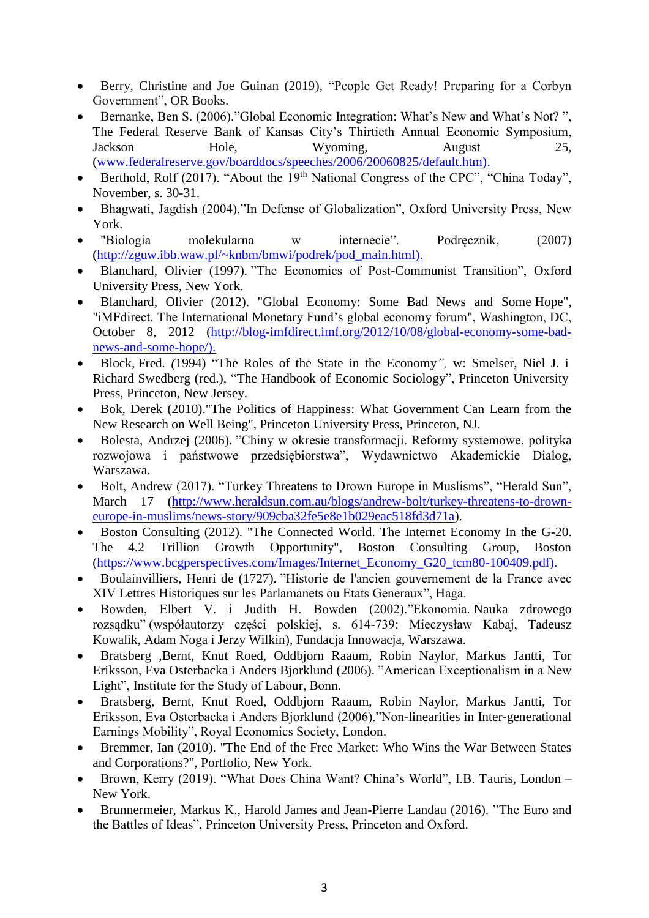- Berry, Christine and Joe Guinan (2019), "People Get Ready! Preparing for a Corbyn Government", OR Books.
- Bernanke, Ben S. (2006)."Global Economic Integration: What's New and What's Not? ", The Federal Reserve Bank of Kansas City's Thirtieth Annual Economic Symposium, Jackson Hole, Wyoming, August 25, [\(www.federalreserve.gov/boarddocs/speeches/2006/20060825/default.htm\).](http://www.federalreserve.gov/boarddocs/speeches/2006/20060825/default.htm))
- **Berthold, Rolf (2017).** "About the  $19<sup>th</sup>$  National Congress of the CPC", "China Today", November, s. 30-31.
- Bhagwati, Jagdish (2004)."In Defense of Globalization", Oxford University Press, New York.
- "Biologia molekularna w internecie". Podręcznik, (2007) [\(http://zguw.ibb.waw.pl/~knbm/bmwi/podrek/pod\\_main.html\).](http://zguw.ibb.waw.pl/~knbm/bmwi/podrek/pod_main.html))
- Blanchard, Olivier (1997). "The Economics of Post-Communist Transition", Oxford University Press, New York.
- Blanchard, Olivier (2012). "Global Economy: Some Bad News and Some Hope", "iMFdirect. The International Monetary Fund's global economy forum", Washington, DC, October 8, 2012 [\(http://blog-imfdirect.imf.org/2012/10/08/global-economy-some-bad](http://blog-imfdirect.imf.org/2012/10/08/global-economy-some-bad-news-and-some-hope/))[news-and-some-hope/\).](http://blog-imfdirect.imf.org/2012/10/08/global-economy-some-bad-news-and-some-hope/))
- Block*,* Fred*. (*1994) "The Roles of the State in the Economy*",* w: Smelser, Niel J. i Richard Swedberg (red.), "The Handbook of Economic Sociology", Princeton University Press, Princeton, New Jersey.
- Bok, Derek (2010)."The Politics of Happiness: What Government Can Learn from the New Research on Well Being", Princeton University Press, Princeton, NJ.
- Bolesta, Andrzej (2006). "Chiny w okresie transformacji. Reformy systemowe, polityka rozwojowa i państwowe przedsiębiorstwa", Wydawnictwo Akademickie Dialog, Warszawa.
- Bolt, Andrew (2017). "Turkey Threatens to Drown Europe in Muslisms", "Herald Sun", March 17 [\(http://www.heraldsun.com.au/blogs/andrew-bolt/turkey-threatens-to-drown](http://www.heraldsun.com.au/blogs/andrew-bolt/turkey-threatens-to-drown-europe-in-muslims/news-story/909cba32fe5e8e1b029eac518fd3d71a)[europe-in-muslims/news-story/909cba32fe5e8e1b029eac518fd3d71a\)](http://www.heraldsun.com.au/blogs/andrew-bolt/turkey-threatens-to-drown-europe-in-muslims/news-story/909cba32fe5e8e1b029eac518fd3d71a).
- Boston Consulting (2012). "The Connected World. The Internet Economy In the G-20. The 4.2 Trillion Growth Opportunity", Boston Consulting Group, Boston [\(https://www.bcgperspectives.com/Images/Internet\\_Economy\\_G20\\_tcm80-100409.pdf\).](https://www.bcgperspectives.com/Images/Internet_Economy_G20_tcm80-100409.pdf))
- Boulainvilliers, Henri de (1727). "Historie de l'ancien gouvernement de la France avec XIV Lettres Historiques sur les Parlamanets ou Etats Generaux", Haga.
- Bowden, Elbert V. i Judith H. Bowden (2002)."Ekonomia. Nauka zdrowego rozsądku" (współautorzy części polskiej, s. 614-739: Mieczysław Kabaj, Tadeusz Kowalik, Adam Noga i Jerzy Wilkin), Fundacja Innowacja, Warszawa.
- Bratsberg ,Bernt, Knut Roed, Oddbjorn Raaum, Robin Naylor, Markus Jantti, Tor Eriksson, Eva Osterbacka i Anders Bjorklund (2006). "American Exceptionalism in a New Light", Institute for the Study of Labour, Bonn.
- Bratsberg, Bernt, Knut Roed, Oddbjorn Raaum, Robin Naylor, Markus Jantti, Tor Eriksson, Eva Osterbacka i Anders Bjorklund (2006)."Non-linearities in Inter-generational Earnings Mobility", Royal Economics Society, London.
- Bremmer, Ian (2010). "The End of the Free Market: Who Wins the War Between States and Corporations?", Portfolio, New York.
- Brown, Kerry (2019). "What Does China Want? China's World", I.B. Tauris, London New York.
- Brunnermeier, Markus K., Harold James and Jean-Pierre Landau (2016). "The Euro and the Battles of Ideas", Princeton University Press, Princeton and Oxford.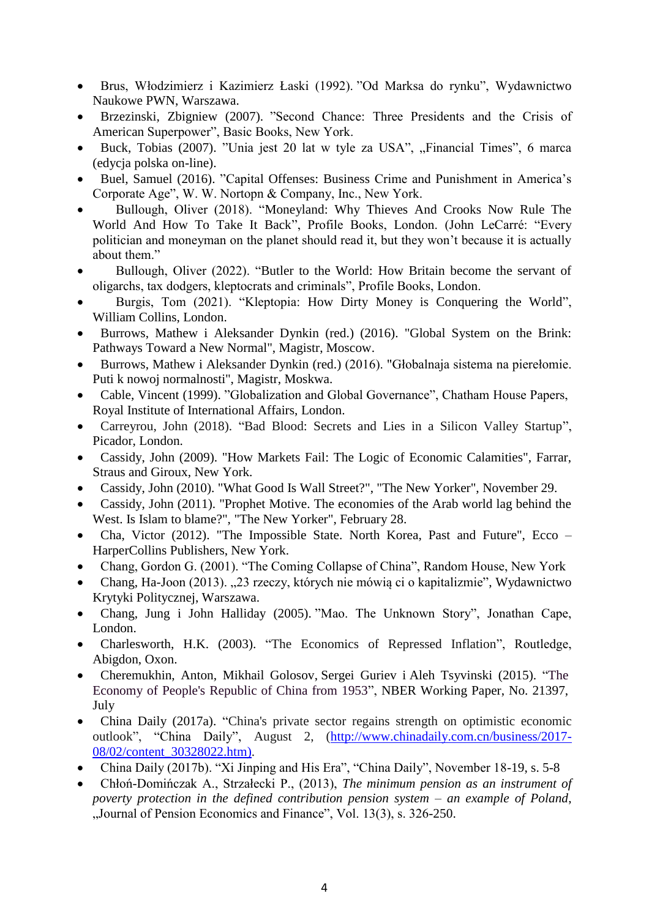- Brus, Włodzimierz i Kazimierz Łaski (1992). "Od Marksa do rynku", Wydawnictwo Naukowe PWN, Warszawa.
- Brzezinski, Zbigniew (2007). "Second Chance: Three Presidents and the Crisis of American Superpower", Basic Books, New York.
- Buck, Tobias (2007). "Unia jest 20 lat w tyle za USA", "Financial Times", 6 marca (edycja polska on-line).
- Buel, Samuel (2016). "Capital Offenses: Business Crime and Punishment in America's Corporate Age", W. W. Nortopn & Company, Inc., New York.
- Bullough, Oliver (2018). "Moneyland: Why Thieves And Crooks Now Rule The World And How To Take It Back", Profile Books, London. (John LeCarré: "Every politician and moneyman on the planet should read it, but they won't because it is actually about them."
- Bullough, Oliver (2022). "Butler to the World: How Britain become the servant of oligarchs, tax dodgers, kleptocrats and criminals", Profile Books, London.
- Burgis, Tom (2021). "Kleptopia: How Dirty Money is Conquering the World", William Collins, London.
- Burrows, Mathew i Aleksander Dynkin (red.) (2016). "Global System on the Brink: Pathways Toward a New Normal", Magistr, Moscow.
- Burrows, Mathew i Aleksander Dynkin (red.) (2016). "Głobalnaja sistema na pierełomie. Puti k nowoj normalnosti", Magistr, Moskwa.
- Cable, Vincent (1999). "Globalization and Global Governance", Chatham House Papers, Royal Institute of International Affairs, London.
- Carreyrou, John (2018). "Bad Blood: Secrets and Lies in a Silicon Valley Startup", Picador, London.
- Cassidy, John (2009). "How Markets Fail: The Logic of Economic Calamities", Farrar, Straus and Giroux, New York.
- Cassidy, John (2010). "What Good Is Wall Street?", "The New Yorker", November 29.
- Cassidy, John (2011). "Prophet Motive. The economies of the Arab world lag behind the West. Is Islam to blame?", "The New Yorker", February 28.
- Cha, Victor (2012). "The Impossible State. North Korea, Past and Future", Ecco HarperCollins Publishers, New York.
- Chang, Gordon G. (2001). "The Coming Collapse of China", Random House, New York
- Chang, Ha-Joon (2013). "23 rzeczy, których nie mówią ci o kapitalizmie", Wydawnictwo Krytyki Politycznej, Warszawa.
- Chang, Jung i John Halliday (2005). "Mao. The Unknown Story", Jonathan Cape, London.
- Charlesworth, H.K. (2003). "The Economics of Repressed Inflation", Routledge, Abigdon, Oxon.
- [Cheremukhin,](http://www.nber.org/people/anton_cheremukhin) Anton, [Mikhail Golosov,](http://www.nber.org/people/mikhail_golosov) [Sergei Guriev](http://www.nber.org/people/sergei_guriev) i [Aleh Tsyvinski](http://www.nber.org/people/aleh_tsyvinski) (2015). "The Economy of People's Republic of China from 1953", NBER Working Paper, No. 21397, July
- China Daily (2017a). "China's private sector regains strength on optimistic economic outlook", "China Daily", August 2, [\(http://www.chinadaily.com.cn/business/2017-](http://www.chinadaily.com.cn/business/2017-08/02/content_30328022.htm)) [08/02/content\\_30328022.htm\).](http://www.chinadaily.com.cn/business/2017-08/02/content_30328022.htm))
- China Daily (2017b). "Xi Jinping and His Era", "China Daily", November 18-19, s. 5-8
- Chłoń-Domińczak A., Strzałecki P., (2013), *The minimum pension as an instrument of poverty protection in the defined contribution pension system – an example of Poland*, "Journal of Pension Economics and Finance", Vol. 13(3), s. 326-250.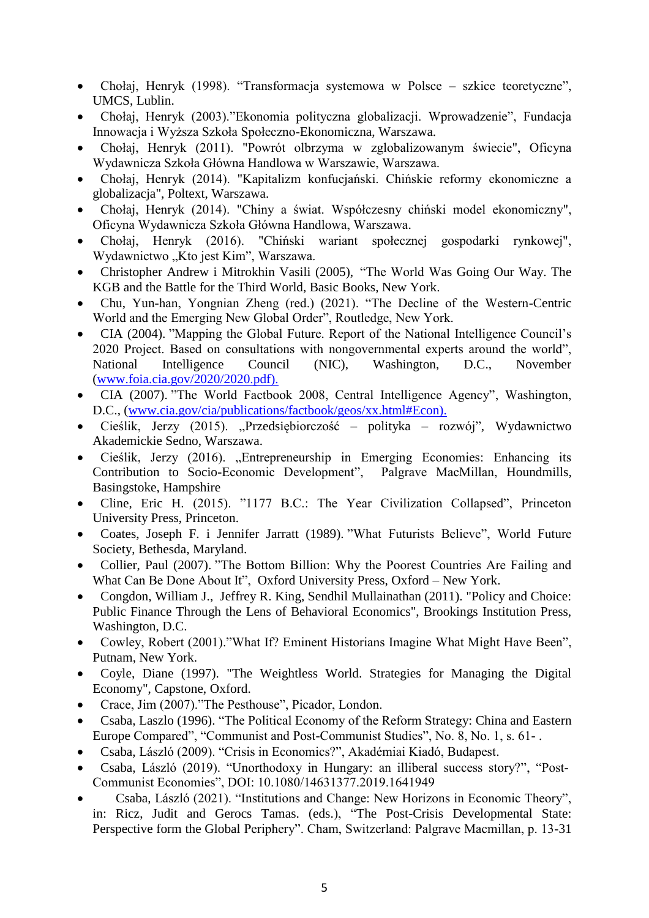- Chołaj, Henryk (1998). "Transformacja systemowa w Polsce szkice teoretyczne", UMCS, Lublin.
- Chołaj, Henryk (2003)."Ekonomia polityczna globalizacji. Wprowadzenie", Fundacja Innowacja i Wyższa Szkoła Społeczno-Ekonomiczna, Warszawa.
- Chołaj, Henryk (2011). "Powrót olbrzyma w zglobalizowanym świecie", Oficyna Wydawnicza Szkoła Główna Handlowa w Warszawie, Warszawa.
- Chołaj, Henryk (2014). "Kapitalizm konfucjański. Chińskie reformy ekonomiczne a globalizacja", Poltext, Warszawa.
- Chołaj, Henryk (2014). "Chiny a świat. Współczesny chiński model ekonomiczny", Oficyna Wydawnicza Szkoła Główna Handlowa, Warszawa.
- Chołaj, Henryk (2016). "Chiński wariant społecznej gospodarki rynkowej", Wydawnictwo "Kto jest Kim", Warszawa.
- Christopher Andrew i Mitrokhin Vasili (2005), "The World Was Going Our Way. The KGB and the Battle for the Third World, Basic Books, New York.
- Chu, Yun-han, Yongnian Zheng (red.) (2021). "The Decline of the Western-Centric World and the Emerging New Global Order", Routledge, New York.
- CIA (2004). "Mapping the Global Future. Report of the National Intelligence Council's 2020 Project. Based on consultations with nongovernmental experts around the world", National Intelligence Council (NIC), Washington, D.C., November [\(www.foia.cia.gov/2020/2020.pdf\).](http://www.foia.cia.gov/2020/2020.pdf))
- CIA (2007). "The World Factbook 2008, Central Intelligence Agency", Washington, D.C., [\(www.cia.gov/cia/publications/factbook/geos/xx.html#Econ\).](http://www.cia.gov/cia/publications/factbook/geos/xx.html#Econ))
- Cieślik, Jerzy (2015). "Przedsiębiorczość polityka rozwój", Wydawnictwo Akademickie Sedno, Warszawa.
- Cieślik, Jerzy (2016). "Entrepreneurship in Emerging Economies: Enhancing its Contribution to Socio-Economic Development", Palgrave MacMillan, Houndmills, Basingstoke, Hampshire
- [Cline,](https://www.amazon.com/Eric-H.-Cline/e/B001HCVOR8/ref=dp_byline_cont_book_1) Eric H. (2015). "1177 B.C.: The Year Civilization Collapsed", Princeton University Press, Princeton.
- Coates, Joseph F. i Jennifer Jarratt (1989). "What Futurists Believe", World Future Society, Bethesda, Maryland.
- Collier, Paul (2007). "The Bottom Billion: Why the Poorest Countries Are Failing and What Can Be Done About It", Oxford University Press, Oxford – New York.
- Congdon, William J., Jeffrey R. King, Sendhil Mullainathan (2011). "Policy and Choice: Public Finance Through the Lens of Behavioral Economics", Brookings Institution Press, Washington, D.C.
- Cowley, Robert (2001)."What If? Eminent Historians Imagine What Might Have Been", Putnam, New York.
- Coyle, Diane (1997). "The Weightless World. Strategies for Managing the Digital Economy", Capstone, Oxford.
- Crace, Jim (2007)."The Pesthouse", Picador, London.
- Csaba, Laszlo (1996). "The Political Economy of the Reform Strategy: China and Eastern Europe Compared", "Communist and Post-Communist Studies", No. 8, No. 1, s. 61- .
- Csaba, László (2009). "Crisis in Economics?", Akadémiai Kiadó, Budapest.
- Csaba, László (2019). "Unorthodoxy in Hungary: an illiberal success story?", "Post-Communist Economies", DOI: 10.1080/14631377.2019.1641949
- Csaba, László (2021). "Institutions and Change: New Horizons in Economic Theory", in: Ricz, Judit and Gerocs Tamas. (eds.), "The Post-Crisis Developmental State: Perspective form the Global Periphery". Cham, Switzerland: Palgrave Macmillan, p. 13-31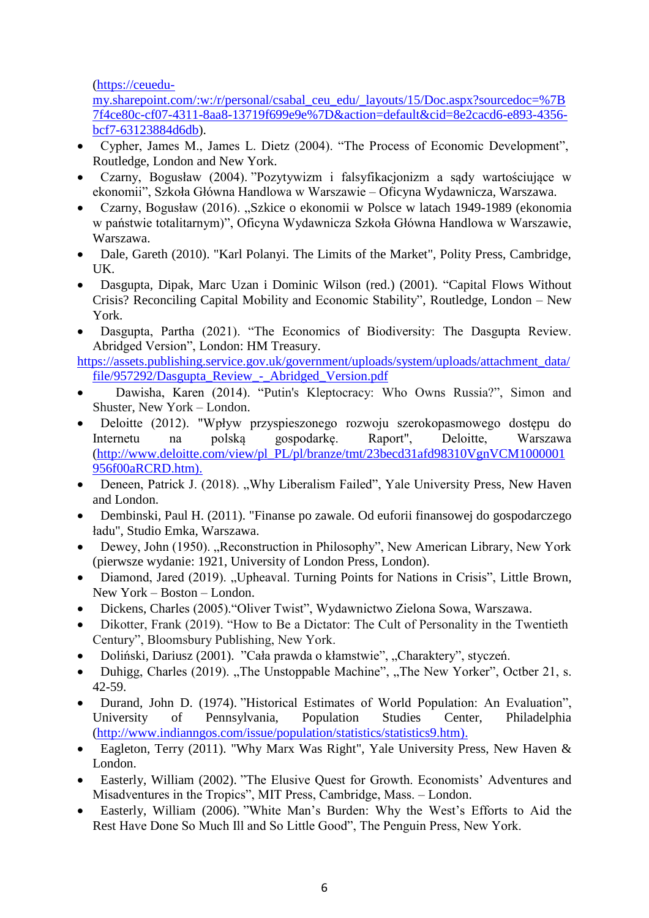[\(https://ceuedu-](https://ceuedu-my.sharepoint.com/:w:/r/personal/csabal_ceu_edu/_layouts/15/Doc.aspx?sourcedoc=%7B7f4ce80c-cf07-4311-8aa8-13719f699e9e%7D&action=default&cid=8e2cacd6-e893-4356-bcf7-63123884d6db)

[my.sharepoint.com/:w:/r/personal/csabal\\_ceu\\_edu/\\_layouts/15/Doc.aspx?sourcedoc=%7B](https://ceuedu-my.sharepoint.com/:w:/r/personal/csabal_ceu_edu/_layouts/15/Doc.aspx?sourcedoc=%7B7f4ce80c-cf07-4311-8aa8-13719f699e9e%7D&action=default&cid=8e2cacd6-e893-4356-bcf7-63123884d6db) [7f4ce80c-cf07-4311-8aa8-13719f699e9e%7D&action=default&cid=8e2cacd6-e893-4356](https://ceuedu-my.sharepoint.com/:w:/r/personal/csabal_ceu_edu/_layouts/15/Doc.aspx?sourcedoc=%7B7f4ce80c-cf07-4311-8aa8-13719f699e9e%7D&action=default&cid=8e2cacd6-e893-4356-bcf7-63123884d6db) [bcf7-63123884d6db\)](https://ceuedu-my.sharepoint.com/:w:/r/personal/csabal_ceu_edu/_layouts/15/Doc.aspx?sourcedoc=%7B7f4ce80c-cf07-4311-8aa8-13719f699e9e%7D&action=default&cid=8e2cacd6-e893-4356-bcf7-63123884d6db).

- Cypher, James M., James L. Dietz (2004). "The Process of Economic Development", Routledge, London and New York.
- Czarny, Bogusław (2004). "Pozytywizm i falsyfikacjonizm a sądy wartościujące w ekonomii", Szkoła Główna Handlowa w Warszawie – Oficyna Wydawnicza, Warszawa.
- Czarny, Bogusław (2016). "Szkice o ekonomii w Polsce w latach 1949-1989 (ekonomia w państwie totalitarnym)", Oficyna Wydawnicza Szkoła Główna Handlowa w Warszawie, Warszawa.
- Dale, Gareth (2010). "Karl Polanyi. The Limits of the Market", Polity Press, Cambridge, UK.
- Dasgupta, Dipak, Marc Uzan i Dominic Wilson (red.) (2001). "Capital Flows Without Crisis? Reconciling Capital Mobility and Economic Stability", Routledge, London – New York.
- Dasgupta, Partha (2021). "The Economics of Biodiversity: The Dasgupta Review. Abridged Version", London: HM Treasury.
- [https://assets.publishing.service.gov.uk/government/uploads/system/uploads/attachment\\_data/](https://assets.publishing.service.gov.uk/government/uploads/system/uploads/attachment_data/file/957292/Dasgupta_Review_-_Abridged_Version.pdf) [file/957292/Dasgupta\\_Review\\_-\\_Abridged\\_Version.pdf](https://assets.publishing.service.gov.uk/government/uploads/system/uploads/attachment_data/file/957292/Dasgupta_Review_-_Abridged_Version.pdf)
- Dawisha, Karen (2014). "Putin's Kleptocracy: Who Owns Russia?", Simon and Shuster, New York – London.
- Deloitte (2012). "Wpływ przyspieszonego rozwoju szerokopasmowego dostępu do Internetu na polską gospodarkę. Raport", Deloitte, Warszawa [\(http://www.deloitte.com/view/pl\\_PL/pl/branze/tmt/23becd31afd98310VgnVCM1000001](http://www.deloitte.com/view/pl_PL/pl/branze/tmt/23becd31afd98310VgnVCM1000001956f00aRCRD.htm)) [956f00aRCRD.htm\).](http://www.deloitte.com/view/pl_PL/pl/branze/tmt/23becd31afd98310VgnVCM1000001956f00aRCRD.htm))
- Deneen, Patrick J. (2018). "Why Liberalism Failed", Yale University Press, New Haven and London.
- Dembinski, Paul H. (2011). "Finanse po zawale. Od euforii finansowej do gospodarczego ładu", Studio Emka, Warszawa.
- Dewey, John (1950). "Reconstruction in Philosophy", New American Library, New York (pierwsze wydanie: 1921, University of London Press, London).
- Diamond, Jared (2019). "Upheaval. Turning Points for Nations in Crisis", Little Brown, New York – Boston – London.
- Dickens, Charles (2005)."Oliver Twist", Wydawnictwo Zielona Sowa, Warszawa.
- Dikotter, Frank (2019). "How to Be a Dictator: The Cult of Personality in the Twentieth Century", Bloomsbury Publishing, New York.
- Doliński, Dariusz (2001). "Cała prawda o kłamstwie", "Charaktery", styczeń.
- Duhigg, Charles (2019). "The Unstoppable Machine", "The New Yorker", Octber 21, s. 42-59.
- Durand, John D. (1974). "Historical Estimates of World Population: An Evaluation", University of Pennsylvania, Population Studies Center, Philadelphia [\(http://www.indianngos.com/issue/population/statistics/statistics9.htm\).](http://www.indianngos.com/issue/population/statistics/statistics9.htm))
- Eagleton, Terry (2011). "Why Marx Was Right", Yale University Press, New Haven & London.
- Easterly, William (2002). "The Elusive Quest for Growth. Economists' Adventures and Misadventures in the Tropics", MIT Press, Cambridge, Mass. – London.
- Easterly, William (2006). "White Man's Burden: Why the West's Efforts to Aid the Rest Have Done So Much Ill and So Little Good", The Penguin Press, New York.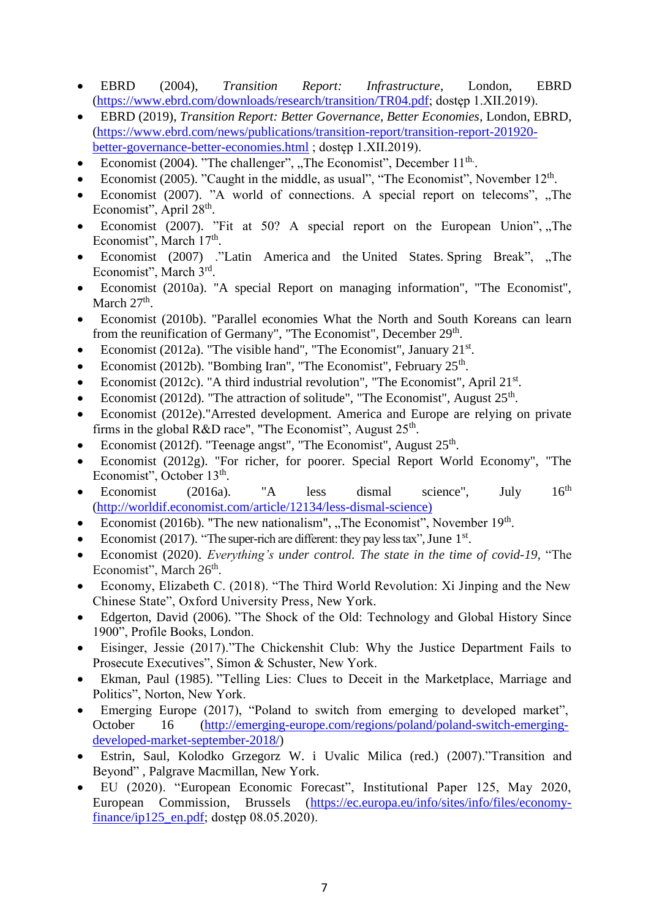- EBRD (2004), *Transition Report: Infrastructure*, London, EBRD [\(https://www.ebrd.com/downloads/research/transition/TR04.pdf;](https://www.ebrd.com/downloads/research/transition/TR04.pdf) dostęp 1.XII.2019).
- EBRD (2019), *Transition Report: Better Governance, Better Economies*, London, EBRD, [\(https://www.ebrd.com/news/publications/transition-report/transition-report-201920](https://www.ebrd.com/news/publications/transition-report/transition-report-201920-better-governance-better-economies.html) [better-governance-better-economies.html](https://www.ebrd.com/news/publications/transition-report/transition-report-201920-better-governance-better-economies.html) ; dostęp 1.XII.2019).
- Economist (2004). "The challenger", "The Economist", December  $11<sup>th</sup>$ .
- Economist (2005). "Caught in the middle, as usual", "The Economist", November 12<sup>th</sup>.
- Economist (2007). "A world of connections. A special report on telecoms", "The Economist", April 28<sup>th</sup>.
- Economist (2007). "Fit at 50? A special report on the European Union",  $n$ , The Economist", March 17<sup>th</sup>.
- Economist (2007) ."Latin America and the United States. Spring Break", "The Economist", March 3rd.
- Economist (2010a). "A special Report on managing information", "The Economist", March  $27<sup>th</sup>$ .
- Economist (2010b). "Parallel economies What the North and South Koreans can learn from the reunification of Germany", "The Economist", December 29<sup>th</sup>.
- Economist (2012a). "The visible hand", "The Economist", January  $21^{st}$ .
- Economist (2012b). "Bombing Iran", "The Economist", February 25<sup>th</sup>.
- Economist (2012c). "A third industrial revolution", "The Economist", April 21<sup>st</sup>.
- Economist (2012d). "The attraction of solitude", "The Economist", August  $25<sup>th</sup>$ .
- Economist (2012e)."Arrested development. America and Europe are relying on private firms in the global R&D race", "The Economist", August  $25<sup>th</sup>$ .
- Economist (2012f). "Teenage angst", "The Economist", August  $25<sup>th</sup>$ .
- Economist (2012g). "For richer, for poorer. Special Report World Economy", "The Economist", October 13<sup>th</sup>.
- Economist (2016a). "A less dismal science", July  $16<sup>th</sup>$ [\(http://worldif.economist.com/article/12134/less-dismal-science\)](http://worldif.economist.com/article/12134/less-dismal-science))
- Economist (2016b). "The new nationalism", "The Economist", November  $19<sup>th</sup>$ .
- Economist (2017). "The super-rich are different: they pay less tax", June 1<sup>st</sup>.
- Economist (2020). *Everything's under control. The state in the time of covid-19*, "The Economist", March 26<sup>th</sup>.
- Economy, Elizabeth C. (2018). "The Third World Revolution: Xi Jinping and the New Chinese State", Oxford University Press, New York.
- Edgerton, David (2006). "The Shock of the Old: Technology and Global History Since 1900", Profile Books, London.
- Eisinger, Jessie (2017)."The Chickenshit Club: Why the Justice Department Fails to Prosecute Executives", Simon & Schuster, New York.
- Ekman, Paul (1985). "Telling Lies: Clues to Deceit in the Marketplace, Marriage and Politics", Norton, New York.
- Emerging Europe (2017), "Poland to switch from emerging to developed market", October 16 [\(http://emerging-europe.com/regions/poland/poland-switch-emerging](http://emerging-europe.com/regions/poland/poland-switch-emerging-developed-market-september-2018/)[developed-market-september-2018/\)](http://emerging-europe.com/regions/poland/poland-switch-emerging-developed-market-september-2018/)
- Estrin, Saul, Kolodko Grzegorz W. i Uvalic Milica (red.) (2007)."Transition and Beyond" , Palgrave Macmillan, New York.
- EU (2020). "European Economic Forecast", Institutional Paper 125, May 2020, European Commission, Brussels [\(https://ec.europa.eu/info/sites/info/files/economy](https://ec.europa.eu/info/sites/info/files/economy-finance/ip125_en.pdf)[finance/ip125\\_en.pdf;](https://ec.europa.eu/info/sites/info/files/economy-finance/ip125_en.pdf) dostęp 08.05.2020).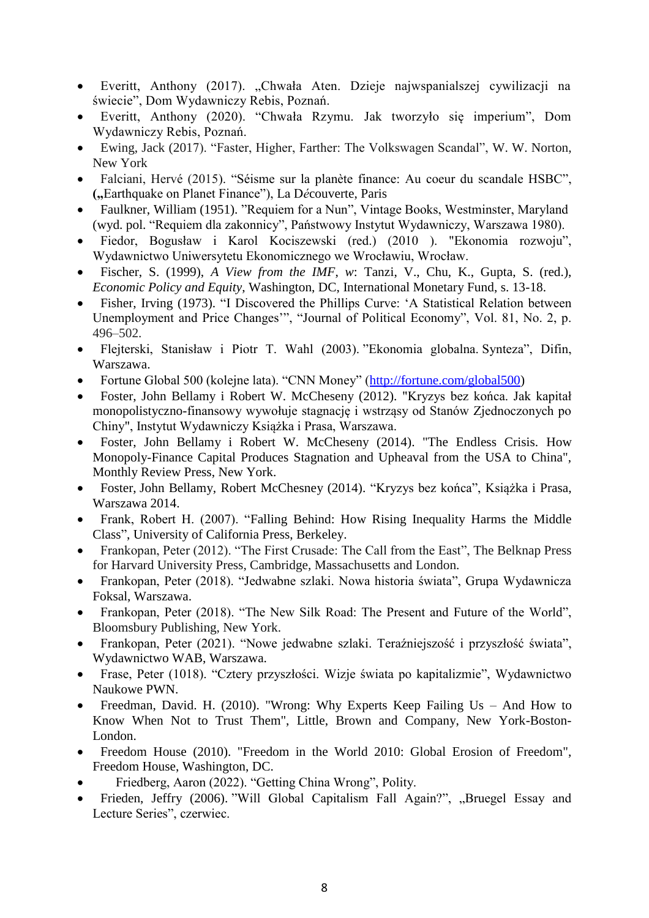- Everitt, Anthony (2017). "Chwała Aten. Dzieje najwspanialszej cywilizacji na świecie", Dom Wydawniczy Rebis, Poznań.
- Everitt, Anthony (2020). "Chwała Rzymu. Jak tworzyło się imperium", Dom Wydawniczy Rebis, Poznań.
- Ewing, Jack (2017). "Faster, Higher, Farther: The Volkswagen Scandal", W. W. Norton, New York
- Falciani, Hervé (2015). "Séisme sur la planète finance: Au coeur du scandale HSBC", **(**"Earthquake on Planet Finance"), La Découverte, Paris
- Faulkner, William (1951). "Requiem for a Nun", Vintage Books, Westminster, Maryland (wyd. pol. "Requiem dla zakonnicy", Państwowy Instytut Wydawniczy, Warszawa 1980).
- Fiedor, Bogusław i Karol Kociszewski (red.) (2010 ). "Ekonomia rozwoju", Wydawnictwo Uniwersytetu Ekonomicznego we Wrocławiu, Wrocław.
- Fischer, S. (1999), *A View from the IMF*, *w*: Tanzi, V., Chu, K., Gupta, S. (red.), *Economic Policy and Equity*, Washington, DC, International Monetary Fund, s. 13-18.
- Fisher, Irving (1973). "I Discovered the Phillips Curve: 'A Statistical Relation between Unemployment and Price Changes'", "Journal of Political Economy", Vol. 81, No. 2, p. 496–502.
- Flejterski, Stanisław i Piotr T. Wahl (2003). "Ekonomia globalna. Synteza", Difin, Warszawa.
- Fortune Global 500 (kolejne lata). "CNN Money" [\(http://fortune.com/global500\)](http://fortune.com/global500)
- Foster, John Bellamy i Robert W. McCheseny (2012). "Kryzys bez końca. Jak kapitał monopolistyczno-finansowy wywołuje stagnację i wstrząsy od Stanów Zjednoczonych po Chiny", Instytut Wydawniczy Książka i Prasa, Warszawa.
- Foster, John Bellamy i Robert W. McCheseny (2014). "The Endless Crisis. How Monopoly-Finance Capital Produces Stagnation and Upheaval from the USA to China", Monthly Review Press, New York.
- Foster, John Bellamy, Robert McChesney (2014). "Kryzys bez końca", Książka i Prasa, Warszawa 2014.
- Frank, Robert H. (2007). "Falling Behind: How Rising Inequality Harms the Middle Class", University of California Press, Berkeley.
- Frankopan, Peter (2012). "The First Crusade: The Call from the East", The Belknap Press for Harvard University Press, Cambridge, Massachusetts and London.
- Frankopan, Peter (2018). "Jedwabne szlaki. Nowa historia świata", Grupa Wydawnicza Foksal, Warszawa.
- Frankopan, Peter (2018). "The New Silk Road: The Present and Future of the World", Bloomsbury Publishing, New York.
- Frankopan, Peter (2021). "Nowe jedwabne szlaki. Teraźniejszość i przyszłość świata", Wydawnictwo WAB, Warszawa.
- Frase, Peter (1018). "Cztery przyszłości. Wizje świata po kapitalizmie", Wydawnictwo Naukowe PWN.
- Freedman, David. H. (2010). "Wrong: Why Experts Keep Failing Us And How to Know When Not to Trust Them", Little, Brown and Company, New York-Boston-London.
- Freedom House (2010). "Freedom in the World 2010: Global Erosion of Freedom", Freedom House, Washington, DC.
- Friedberg, Aaron (2022). "Getting China Wrong", Polity.
- Frieden, Jeffry (2006). "Will Global Capitalism Fall Again?", "Bruegel Essay and Lecture Series", czerwiec.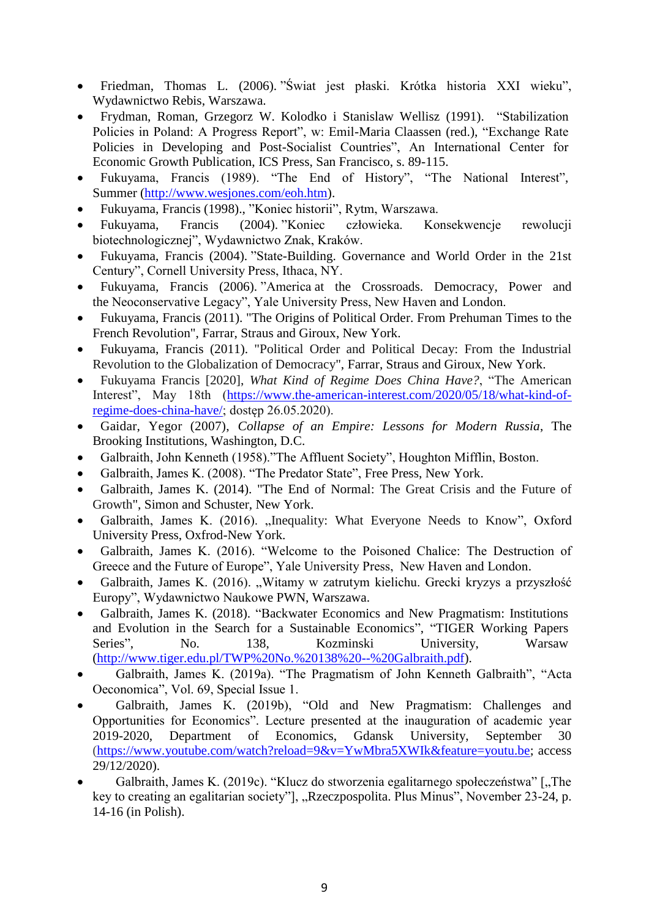- Friedman, Thomas L. (2006). "Świat jest płaski. Krótka historia XXI wieku", Wydawnictwo Rebis, Warszawa.
- Frydman, Roman, Grzegorz W. Kolodko i Stanislaw Wellisz (1991). "Stabilization Policies in Poland: A Progress Report", w: Emil-Maria Claassen (red.), "Exchange Rate Policies in Developing and Post-Socialist Countries", An International Center for Economic Growth Publication, ICS Press, San Francisco, s. 89-115.
- Fukuyama, Francis (1989). "The End of History", "The National Interest", Summer [\(http://www.wesjones.com/eoh.htm\)](http://www.wesjones.com/eoh.htm).
- Fukuyama, Francis (1998)., "Koniec historii", Rytm, Warszawa.
- Fukuyama, Francis (2004). "Koniec człowieka. Konsekwencje rewolucji biotechnologicznej", Wydawnictwo Znak, Kraków.
- Fukuyama, Francis (2004). "State-Building. Governance and World Order in the 21st Century", Cornell University Press, Ithaca, NY.
- Fukuyama, Francis (2006). "America at the Crossroads. Democracy, Power and the Neoconservative Legacy", Yale University Press, New Haven and London.
- Fukuyama, Francis (2011). "The Origins of Political Order. From Prehuman Times to the French Revolution", Farrar, Straus and Giroux, New York.
- Fukuyama, Francis (2011). "Political Order and Political Decay: From the Industrial Revolution to the Globalization of Democracy", Farrar, Straus and Giroux, New York.
- Fukuyama Francis [2020], *What Kind of Regime Does China Have?*, "The American Interest", May 18th [\(https://www.the-american-interest.com/2020/05/18/what-kind-of](https://www.the-american-interest.com/2020/05/18/what-kind-of-regime-does-china-have/)[regime-does-china-have/;](https://www.the-american-interest.com/2020/05/18/what-kind-of-regime-does-china-have/) dostęp 26.05.2020).
- Gaidar, Yegor (2007), *Collapse of an Empire: Lessons for Modern Russia*, The Brooking Institutions, Washington, D.C.
- Galbraith, John Kenneth (1958)."The Affluent Society", Houghton Mifflin, Boston.
- Galbraith, James K. (2008). "The Predator State", Free Press, New York.
- Galbraith, James K. (2014). "The End of Normal: The Great Crisis and the Future of Growth", Simon and Schuster, New York.
- Galbraith, James K. (2016). "Inequality: What Everyone Needs to Know", Oxford University Press, Oxfrod-New York.
- Galbraith, James K. (2016). "Welcome to the Poisoned Chalice: The Destruction of Greece and the Future of Europe", Yale University Press, New Haven and London.
- Galbraith, James K. (2016). "Witamy w zatrutym kielichu. Grecki kryzys a przyszłość Europy", Wydawnictwo Naukowe PWN, Warszawa.
- Galbraith, James K. (2018). "Backwater Economics and New Pragmatism: Institutions and Evolution in the Search for a Sustainable Economics", "TIGER Working Papers Series", No. 138, Kozminski University, Warsaw [\(http://www.tiger.edu.pl/TWP%20No.%20138%20--%20Galbraith.pdf\)](http://www.tiger.edu.pl/TWP%20No.%20138%20--%20Galbraith.pdf).
- Galbraith, James K. (2019a). "The Pragmatism of John Kenneth Galbraith", "Acta Oeconomica", Vol. 69, Special Issue 1.
- Galbraith, James K. (2019b), "Old and New Pragmatism: Challenges and Opportunities for Economics". Lecture presented at the inauguration of academic year 2019-2020, Department of Economics, Gdansk University, September 30 [\(https://www.youtube.com/watch?reload=9&v=YwMbra5XWIk&feature=youtu.be;](https://www.youtube.com/watch?reload=9&v=YwMbra5XWIk&feature=youtu.be) access 29/12/2020).
- Galbraith, James K. (2019c). "Klucz do stworzenia egalitarnego społeczeństwa" ["The key to creating an egalitarian society"], "Rzeczpospolita. Plus Minus", November 23-24, p. 14-16 (in Polish).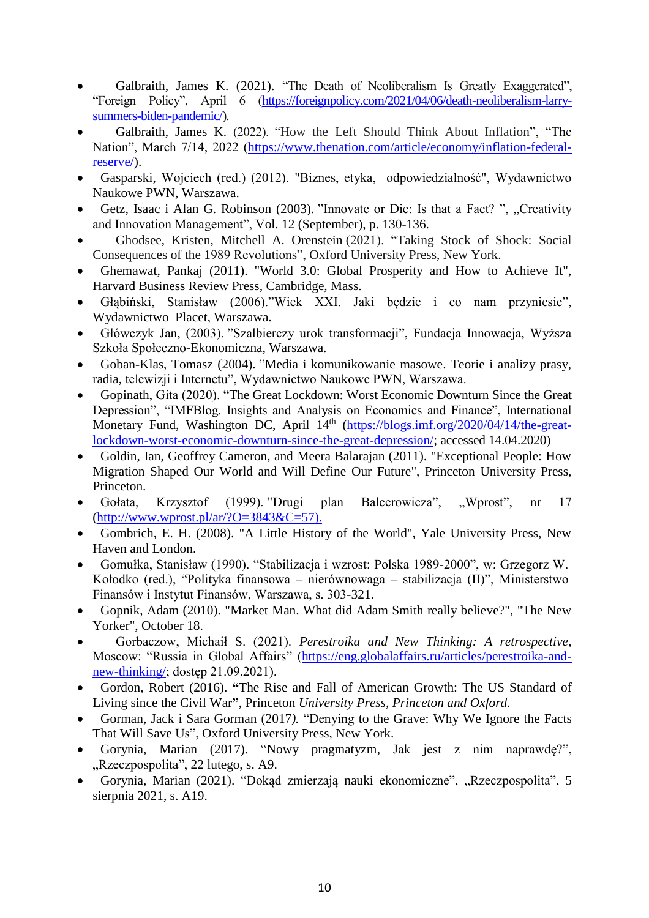- Galbraith, James K. (2021). "The Death of Neoliberalism Is Greatly Exaggerated", "Foreign Policy", April 6 [\(https://foreignpolicy.com/2021/04/06/death-neoliberalism-larry](https://foreignpolicy.com/2021/04/06/death-neoliberalism-larry-summers-biden-pandemic/)[summers-biden-pandemic/\)](https://foreignpolicy.com/2021/04/06/death-neoliberalism-larry-summers-biden-pandemic/).
- Galbraith, James K. (2022). "How the Left Should Think About Inflation", "The Nation", March 7/14, 2022 [\(https://www.thenation.com/article/economy/inflation-federal](https://www.thenation.com/article/economy/inflation-federal-reserve/)[reserve/\)](https://www.thenation.com/article/economy/inflation-federal-reserve/).
- Gasparski, Wojciech (red.) (2012). "Biznes, etyka, odpowiedzialność", Wydawnictwo Naukowe PWN, Warszawa.
- Getz, Isaac i Alan G. Robinson (2003). "Innovate or Die: Is that a Fact? ", "Creativity and Innovation Management", Vol. 12 (September), p. 130-136.
- Ghodsee, Kristen, [Mitchell A. Orenstein](https://www.amazon.com/s/ref=dp_byline_sr_book_2?ie=UTF8&field-author=Mitchell+Orenstein&text=Mitchell+Orenstein&sort=relevancerank&search-alias=books) (2021). "Taking Stock of Shock: Social Consequences of the 1989 Revolutions", Oxford University Press, New York.
- Ghemawat, Pankaj (2011). "World 3.0: Global Prosperity and How to Achieve It", Harvard Business Review Press, Cambridge, Mass.
- Głąbiński, Stanisław (2006)."Wiek XXI. Jaki będzie i co nam przyniesie", Wydawnictwo Placet, Warszawa.
- Główczyk Jan, (2003). "Szalbierczy urok transformacji", Fundacja Innowacja, Wyższa Szkoła Społeczno-Ekonomiczna, Warszawa.
- Goban-Klas, Tomasz (2004). "Media i komunikowanie masowe. Teorie i analizy prasy, radia, telewizji i Internetu", Wydawnictwo Naukowe PWN, Warszawa.
- [Gopinath,](https://blogs.imf.org/bloggers/gita-gopinath/) Gita (2020). "The Great Lockdown: Worst Economic Downturn Since the Great Depression", "IMFBlog. Insights and Analysis on Economics and Finance", International Monetary Fund, Washington DC, April 14<sup>th</sup> [\(https://blogs.imf.org/2020/04/14/the-great](https://blogs.imf.org/2020/04/14/the-great-lockdown-worst-economic-downturn-since-the-great-depression/)[lockdown-worst-economic-downturn-since-the-great-depression/;](https://blogs.imf.org/2020/04/14/the-great-lockdown-worst-economic-downturn-since-the-great-depression/) accessed 14.04.2020)
- Goldin, Ian, Geoffrey Cameron, and Meera Balarajan (2011). "Exceptional People: How Migration Shaped Our World and Will Define Our Future", Princeton University Press, Princeton.
- Gołata, Krzysztof (1999). "Drugi plan Balcerowicza", "Wprost", nr 17 [\(http://www.wprost.pl/ar/?O=3843&C=57\).](http://www.wprost.pl/ar/?O=3843&C=57))
- Gombrich, E. H. (2008). "A Little History of the World", Yale University Press, New Haven and London.
- Gomułka, Stanisław (1990). "Stabilizacja i wzrost: Polska 1989-2000", w: Grzegorz W. Kołodko (red.), "Polityka finansowa – nierównowaga – stabilizacja (II)", Ministerstwo Finansów i Instytut Finansów, Warszawa, s. 303-321.
- Gopnik, Adam (2010). "Market Man. What did Adam Smith really believe?", "The New Yorker", October 18.
- Gorbaczow, Michaił S. (2021). *Perestroika and New Thinking: A retrospective*, Moscow: "Russia in Global Affairs" [\(https://eng.globalaffairs.ru/articles/perestroika-and](https://eng.globalaffairs.ru/articles/perestroika-and-new-thinking/)[new-thinking/;](https://eng.globalaffairs.ru/articles/perestroika-and-new-thinking/) dostęp 21.09.2021).
- Gordon, Robert (2016). **"**The Rise and Fall of American Growth: The US Standard of Living since the Civil War**"**, Princeton *University Press, Princeton and Oxford.*
- Gorman, Jack i Sara Gorman (2017*).* "Denying to the Grave: Why We Ignore the Facts That Will Save Us", Oxford University Press, New York.
- Gorynia, Marian (2017). "Nowy pragmatyzm, Jak jest z nim naprawdę?", "Rzeczpospolita", 22 lutego, s. A9.
- Gorynia, Marian (2021). "Dokąd zmierzają nauki ekonomiczne", "Rzeczpospolita", 5 sierpnia 2021, s. A19.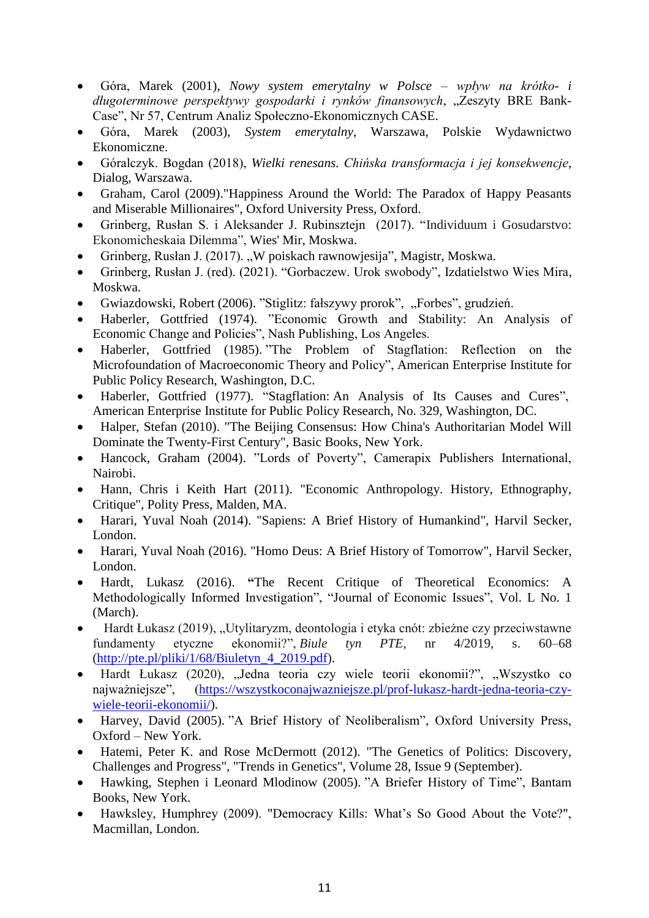- Góra, Marek (2001), *Nowy system emerytalny w Polsce – wpływ na krótko- i długoterminowe perspektywy gospodarki i rynków finansowych*, "Zeszyty BRE Bank-Case", Nr 57, Centrum Analiz Społeczno-Ekonomicznych CASE.
- Góra, Marek (2003), *System emerytalny*, Warszawa, Polskie Wydawnictwo Ekonomiczne.
- Góralczyk. Bogdan (2018), *Wielki renesans. Chińska transformacja i jej konsekwencje*, Dialog, Warszawa.
- Graham, Carol (2009)."Happiness Around the World: The Paradox of Happy Peasants and Miserable Millionaires", Oxford University Press, Oxford.
- Grinberg, Rusłan S. i Aleksander J. Rubinsztejn (2017). "Individuum i Gosudarstvo: Ekonomicheskaia Dilemma", Wies' Mir, Moskwa.
- Grinberg, Rusłan J. (2017). "W poiskach rawnowjesija", Magistr, Moskwa.
- Grinberg, Rusłan J. (red). (2021). "Gorbaczew. Urok swobody", Izdatielstwo Wies Mira, Moskwa.
- Gwiazdowski, Robert (2006). "Stiglitz: fałszywy prorok", "Forbes", grudzień.
- Haberler, Gottfried (1974). "Economic Growth and Stability: An Analysis of Economic Change and Policies", Nash Publishing, Los Angeles.
- Haberler, Gottfried (1985). "The Problem of Stagflation: Reflection on the Microfoundation of Macroeconomic Theory and Policy", American Enterprise Institute for Public Policy Research, Washington, D.C.
- Haberler, Gottfried (1977). "Stagflation: An Analysis of Its Causes and Cures", American Enterprise Institute for Public Policy Research, No. 329, Washington, DC.
- Halper, Stefan (2010). "The Beijing Consensus: How China's Authoritarian Model Will Dominate the Twenty-First Century", Basic Books, New York.
- Hancock, Graham (2004). "Lords of Poverty", Camerapix Publishers International, Nairobi.
- Hann, Chris i Keith Hart (2011). "Economic Anthropology. History, Ethnography, Critique", Polity Press, Malden, MA.
- Harari, Yuval Noah (2014). "Sapiens: A Brief History of Humankind", Harvil Secker, London.
- Harari, Yuval Noah (2016). "Homo Deus: A Brief History of Tomorrow", Harvil Secker, London.
- Hardt, Lukasz (2016). **"**The Recent Critique of Theoretical Economics: A Methodologically Informed Investigation", "Journal of Economic Issues", Vol. L No. 1 (March).
- Hardt Łukasz (2019), "Utylitaryzm, deontologia i etyka cnót: zbieżne czy przeciwstawne fundamenty etyczne ekonomii?", *Biule tyn PTE*, nr 4/2019, s. 60–68 [\(http://pte.pl/pliki/1/68/Biuletyn\\_4\\_2019.pdf\)](http://pte.pl/pliki/1/68/Biuletyn_4_2019.pdf).
- Hardt Łukasz (2020), "Jedna teoria czy wiele teorii ekonomii?", "Wszystko co najważniejsze", [\(https://wszystkoconajwazniejsze.pl/prof-lukasz-hardt-jedna-teoria-czy](https://wszystkoconajwazniejsze.pl/prof-lukasz-hardt-jedna-teoria-czy-wiele-teorii-ekonomii/)[wiele-teorii-ekonomii/\)](https://wszystkoconajwazniejsze.pl/prof-lukasz-hardt-jedna-teoria-czy-wiele-teorii-ekonomii/).
- Harvey, David (2005). "A Brief History of Neoliberalism", Oxford University Press, Oxford – New York.
- Hatemi, Peter K. and Rose McDermott (2012). "The Genetics of Politics: Discovery, Challenges and Progress", "Trends in Genetics", Volume 28, Issue 9 (September).
- Hawking, Stephen i Leonard Mlodinow (2005). "A Briefer History of Time", Bantam Books, New York.
- Hawksley, Humphrey (2009). "Democracy Kills: What's So Good About the Vote?", Macmillan, London.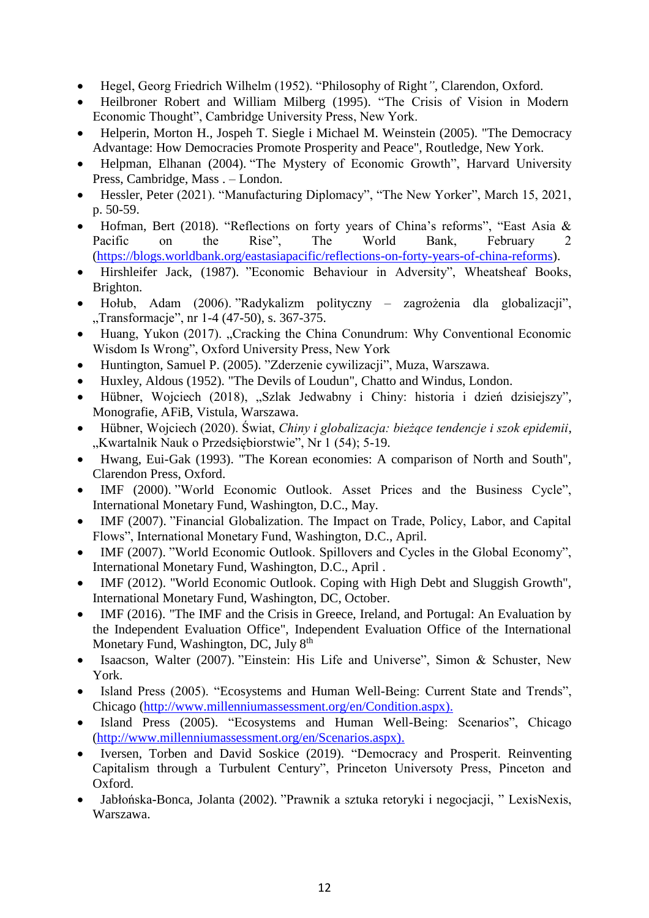- Hegel, Georg Friedrich Wilhelm (1952). "Philosophy of Right*"*, Clarendon, Oxford.
- Heilbroner Robert and William Milberg (1995). "The Crisis of Vision in Modern Economic Thought", Cambridge University Press, New York.
- Helperin, Morton H., Jospeh T. Siegle i Michael M. Weinstein (2005). "The Democracy Advantage: How Democracies Promote Prosperity and Peace", Routledge, New York.
- Helpman, Elhanan (2004). "The Mystery of Economic Growth", Harvard University Press, Cambridge, Mass . – London.
- Hessler, Peter (2021). "Manufacturing Diplomacy", "The New Yorker", March 15, 2021, p. 50-59.
- Hofman, Bert (2018). "Reflections on forty years of China's reforms", "East Asia & Pacific on the Rise", The World Bank, February 2 [\(https://blogs.worldbank.org/eastasiapacific/reflections-on-forty-years-of-china-reforms\)](https://blogs.worldbank.org/eastasiapacific/reflections-on-forty-years-of-china-reforms).
- Hirshleifer Jack, (1987). "Economic Behaviour in Adversity", Wheatsheaf Books, Brighton.
- Hołub, Adam (2006). "Radykalizm polityczny zagrożenia dla globalizacji", "Transformacje", nr 1-4 (47-50), s. 367-375.
- Huang, Yukon (2017). "Cracking the China Conundrum: Why Conventional Economic Wisdom Is Wrong", Oxford University Press, New York
- Huntington, Samuel P. (2005). "Zderzenie cywilizacji", Muza, Warszawa.
- Huxley, Aldous (1952). "The Devils of Loudun", Chatto and Windus, London.
- Hübner, Wojciech (2018), "Szlak Jedwabny i Chiny: historia i dzień dzisiejszy", Monografie, AFiB, Vistula, Warszawa.
- Hübner, Wojciech (2020). Świat, *Chiny i globalizacja: bieżące tendencje i szok epidemii*, "Kwartalnik Nauk o Przedsiębiorstwie", Nr 1 (54); 5-19.
- Hwang, Eui-Gak (1993). "The Korean economies: A comparison of North and South", Clarendon Press, Oxford.
- IMF (2000). "World Economic Outlook. Asset Prices and the Business Cycle", International Monetary Fund, Washington, D.C., May.
- IMF (2007). "Financial Globalization. The Impact on Trade, Policy, Labor, and Capital Flows", International Monetary Fund, Washington, D.C., April.
- IMF (2007). "World Economic Outlook. Spillovers and Cycles in the Global Economy", International Monetary Fund, Washington, D.C., April .
- IMF (2012). "World Economic Outlook. Coping with High Debt and Sluggish Growth", International Monetary Fund, Washington, DC, October.
- IMF (2016). "The IMF and the Crisis in Greece, Ireland, and Portugal: An Evaluation by the Independent Evaluation Office", Independent Evaluation Office of the International Monetary Fund, Washington, DC, July 8<sup>th</sup>
- Isaacson, Walter (2007). "Einstein: His Life and Universe", Simon & Schuster, New York.
- Island Press (2005). "Ecosystems and Human Well-Being: Current State and Trends", Chicago [\(http://www.millenniumassessment.org/en/Condition.aspx\).](http://www.millenniumassessment.org/en/Condition.aspx))
- Island Press (2005). "Ecosystems and Human Well-Being: Scenarios", Chicago [\(http://www.millenniumassessment.org/en/Scenarios.aspx\).](http://www.millenniumassessment.org/en/Scenarios.aspx))
- Iversen, Torben and David Soskice (2019). "Democracy and Prosperit. Reinventing Capitalism through a Turbulent Century", Princeton Universoty Press, Pinceton and Oxford.
- Jabłońska-Bonca, Jolanta (2002). "Prawnik a sztuka retoryki i negocjacji, " LexisNexis, Warszawa.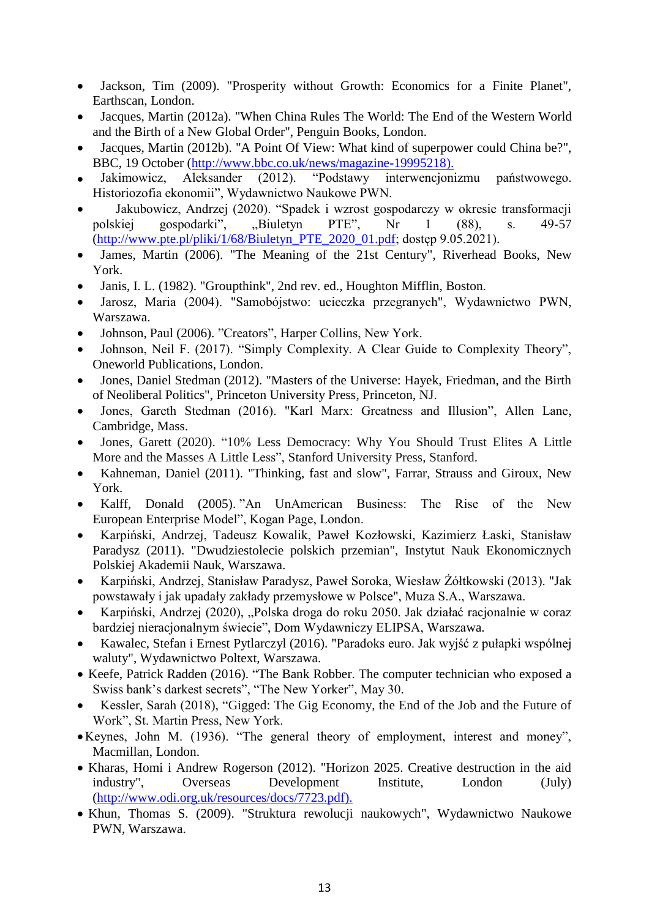- Jackson, Tim (2009). "Prosperity without Growth: Economics for a Finite Planet", Earthscan, London.
- Jacques, Martin (2012a). "When China Rules The World: The End of the Western World and the Birth of a New Global Order", Penguin Books, London.
- Jacques, Martin (2012b). "A Point Of View: What kind of superpower could China be?", BBC, 19 October [\(http://www.bbc.co.uk/news/magazine-19995218\).](http://www.bbc.co.uk/news/magazine-19995218))
- Jakimowicz, Aleksander (2012). "Podstawy interwencjonizmu państwowego. Historiozofia ekonomii", Wydawnictwo Naukowe PWN.
- Jakubowicz, Andrzej (2020). "Spadek i wzrost gospodarczy w okresie transformacji polskiej gospodarki", "Biuletyn PTE", Nr 1 (88), s. 49-57 [\(http://www.pte.pl/pliki/1/68/Biuletyn\\_PTE\\_2020\\_01.pdf;](http://www.pte.pl/pliki/1/68/Biuletyn_PTE_2020_01.pdf) dostęp 9.05.2021).
- James, Martin (2006). "The Meaning of the 21st Century", Riverhead Books, New York.
- Janis, I. L. (1982). "Groupthink", 2nd rev. ed., Houghton Mifflin, Boston.
- Jarosz, Maria (2004). "Samobójstwo: ucieczka przegranych", Wydawnictwo PWN, Warszawa.
- Johnson, Paul (2006). "Creators", Harper Collins, New York.
- Johnson, Neil F. (2017). "Simply Complexity. A Clear Guide to Complexity Theory", Oneworld Publications, London.
- Jones, Daniel Stedman (2012). "Masters of the Universe: Hayek, Friedman, and the Birth of Neoliberal Politics", Princeton University Press, Princeton, NJ.
- Jones, Gareth Stedman (2016). "Karl Marx: Greatness and Illusion", Allen Lane, Cambridge, Mass.
- Jones, Garett (2020). "10% Less Democracy: Why You Should Trust Elites A Little More and the Masses A Little Less", Stanford University Press, Stanford.
- Kahneman, Daniel (2011). "Thinking, fast and slow", Farrar, Strauss and Giroux, New York.
- Kalff, Donald (2005). "An UnAmerican Business: The Rise of the New European Enterprise Model", Kogan Page, London.
- Karpiński, Andrzej, Tadeusz Kowalik, Paweł Kozłowski, Kazimierz Łaski, Stanisław Paradysz (2011). "Dwudziestolecie polskich przemian", Instytut Nauk Ekonomicznych Polskiej Akademii Nauk, Warszawa.
- Karpiński, Andrzej, Stanisław Paradysz, Paweł Soroka, Wiesław Żółtkowski (2013). "Jak powstawały i jak upadały zakłady przemysłowe w Polsce", Muza S.A., Warszawa.
- Karpiński, Andrzej (2020), "Polska droga do roku 2050. Jak działać racjonalnie w coraz bardziej nieracjonalnym świecie", Dom Wydawniczy ELIPSA, Warszawa.
- Kawalec, Stefan i Ernest Pytlarczyl (2016). "Paradoks euro. Jak wyjść z pułapki wspólnej waluty", Wydawnictwo Poltext, Warszawa.
- Keefe, Patrick Radden (2016). "The Bank Robber. The computer technician who exposed a Swiss bank's darkest secrets", "The New Yorker", May 30.
- Kessler, Sarah (2018), "Gigged: The Gig Economy, the End of the Job and the Future of Work", St. Martin Press, New York.
- Keynes, John M. (1936). "The general theory of employment, interest and money", Macmillan, London.
- Kharas, Homi i Andrew Rogerson (2012). "Horizon 2025. Creative destruction in the aid industry", Overseas Development Institute, London (July) [\(http://www.odi.org.uk/resources/docs/7723.pdf\).](http://www.odi.org.uk/resources/docs/7723.pdf))
- Khun, Thomas S. (2009). "Struktura rewolucji naukowych", Wydawnictwo Naukowe PWN, Warszawa.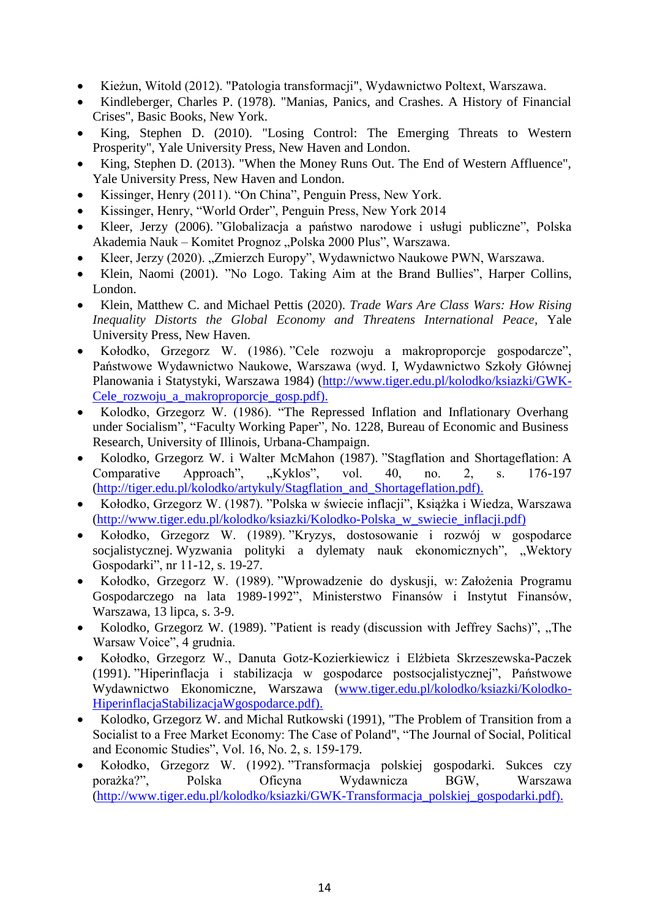- Kieżun, Witold (2012). "Patologia transformacji", Wydawnictwo Poltext, Warszawa.
- Kindleberger, Charles P. (1978). "Manias, Panics, and Crashes. A History of Financial Crises", Basic Books, New York.
- King, Stephen D. (2010). "Losing Control: The Emerging Threats to Western Prosperity", Yale University Press, New Haven and London.
- King, Stephen D. (2013). "When the Money Runs Out. The End of Western Affluence", Yale University Press, New Haven and London.
- Kissinger, Henry (2011). "On China", Penguin Press, New York.
- Kissinger, Henry, "World Order", Penguin Press, New York 2014
- Kleer, Jerzy (2006). "Globalizacja a państwo narodowe i usługi publiczne", Polska Akademia Nauk – Komitet Prognoz "Polska 2000 Plus", Warszawa.
- Kleer, Jerzy (2020). "Zmierzch Europy", Wydawnictwo Naukowe PWN, Warszawa.
- Klein, Naomi (2001). "No Logo. Taking Aim at the Brand Bullies", Harper Collins, London.
- [Klein,](https://www.amazon.com/Matthew-C-Klein/e/B07X2V1KDR/ref=dp_byline_cont_book_1) Matthew C. and [Michael Pettis](https://www.amazon.com/s/ref=dp_byline_sr_book_2?ie=UTF8&field-author=Michael+Pettis&text=Michael+Pettis&sort=relevancerank&search-alias=books) (2020). *Trade Wars Are Class Wars: How Rising Inequality Distorts the Global Economy and Threatens International Peace*, Yale University Press, New Haven.
- Kołodko, Grzegorz W. (1986). "Cele rozwoju a makroproporcje gospodarcze", Państwowe Wydawnictwo Naukowe, Warszawa (wyd. I, Wydawnictwo Szkoły Głównej Planowania i Statystyki, Warszawa 1984) [\(http://www.tiger.edu.pl/kolodko/ksiazki/GWK-](http://www.tiger.edu.pl/kolodko/ksiazki/GWK-Cele_rozwoju_a_makroproporcje_gosp.pdf))[Cele\\_rozwoju\\_a\\_makroproporcje\\_gosp.pdf\).](http://www.tiger.edu.pl/kolodko/ksiazki/GWK-Cele_rozwoju_a_makroproporcje_gosp.pdf))
- Kolodko, Grzegorz W. (1986). "The Repressed Inflation and Inflationary Overhang under Socialism", "Faculty Working Paper", No. 1228, Bureau of Economic and Business Research, University of Illinois, Urbana-Champaign.
- Kolodko, Grzegorz W. i Walter McMahon (1987). "Stagflation and Shortageflation: A Comparative Approach", "Kyklos", vol. 40, no. 2, s. 176-197 [\(http://tiger.edu.pl/kolodko/artykuly/Stagflation\\_and\\_Shortageflation.pdf\).](http://tiger.edu.pl/kolodko/artykuly/Stagflation_and_Shortageflation.pdf))
- Kołodko, Grzegorz W. (1987). "Polska w świecie inflacji", Książka i Wiedza, Warszawa [\(http://www.tiger.edu.pl/kolodko/ksiazki/Kolodko-Polska\\_w\\_swiecie\\_inflacji.pdf\)](http://www.tiger.edu.pl/kolodko/ksiazki/Kolodko-Polska_w_swiecie_inflacji.pdf))
- Kołodko, Grzegorz W. (1989). "Kryzys, dostosowanie i rozwój w gospodarce socjalistycznej. Wyzwania polityki a dylematy nauk ekonomicznych", "Wektory Gospodarki", nr 11-12, s. 19-27.
- Kołodko, Grzegorz W. (1989). "Wprowadzenie do dyskusji, w: Założenia Programu Gospodarczego na lata 1989-1992", Ministerstwo Finansów i Instytut Finansów, Warszawa, 13 lipca, s. 3-9.
- Kolodko, Grzegorz W. (1989). "Patient is ready (discussion with Jeffrey Sachs)", "The Warsaw Voice", 4 grudnia.
- Kołodko, Grzegorz W., Danuta Gotz-Kozierkiewicz i Elżbieta Skrzeszewska-Paczek (1991). "Hiperinflacja i stabilizacja w gospodarce postsocjalistycznej", Państwowe Wydawnictwo Ekonomiczne, Warszawa [\(www.tiger.edu.pl/kolodko/ksiazki/Kolodko-](http://www.tiger.edu.pl/kolodko/ksiazki/Kolodko-HiperinflacjaStabilizacjaWgospodarce.pdf))[HiperinflacjaStabilizacjaWgospodarce.pdf\).](http://www.tiger.edu.pl/kolodko/ksiazki/Kolodko-HiperinflacjaStabilizacjaWgospodarce.pdf))
- Kolodko, Grzegorz W. and Michal Rutkowski (1991), "The Problem of Transition from a Socialist to a Free Market Economy: The Case of Poland", "The Journal of Social, Political and Economic Studies", Vol. 16, No. 2, s. 159-179.
- Kołodko, Grzegorz W. (1992). "Transformacja polskiej gospodarki. Sukces czy porażka?", Polska Oficyna Wydawnicza BGW, Warszawa [\(http://www.tiger.edu.pl/kolodko/ksiazki/GWK-Transformacja\\_polskiej\\_gospodarki.pdf\).](http://www.tiger.edu.pl/kolodko/ksiazki/GWK-Transformacja_polskiej_gospodarki.pdf))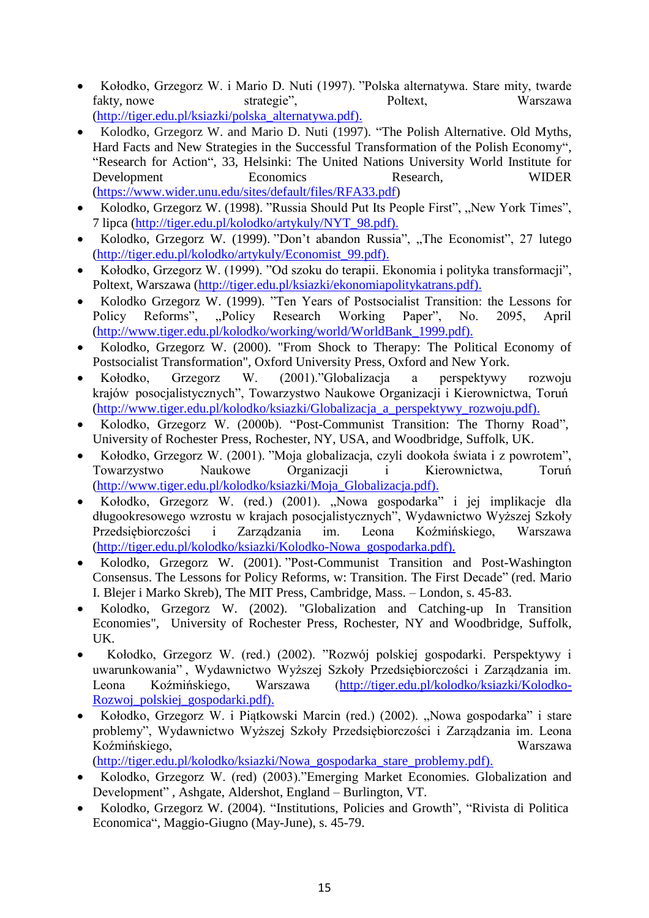- Kołodko, Grzegorz W. i Mario D. Nuti (1997). "Polska alternatywa. Stare mity, twarde fakty, nowe strategie", Poltext, Warszawa [\(http://tiger.edu.pl/ksiazki/polska\\_alternatywa.pdf\).](http://tiger.edu.pl/ksiazki/polska_alternatywa.pdf))
- Kolodko, Grzegorz W. and Mario D. Nuti (1997). "The Polish Alternative. Old Myths, Hard Facts and New Strategies in the Successful Transformation of the Polish Economy", "Research for Action", 33, Helsinki: The United Nations University World Institute for Development Economics Research, WIDER [\(https://www.wider.unu.edu/sites/default/files/RFA33.pdf\)](https://www.wider.unu.edu/sites/default/files/RFA33.pdf)
- Kolodko, Grzegorz W. (1998). "Russia Should Put Its People First", "New York Times", 7 lipca [\(http://tiger.edu.pl/kolodko/artykuly/NYT\\_98.pdf\).](http://tiger.edu.pl/kolodko/artykuly/NYT_98.pdf))
- Kolodko, Grzegorz W. (1999). "Don't abandon Russia", "The Economist", 27 lutego [\(http://tiger.edu.pl/kolodko/artykuly/Economist\\_99.pdf\).](http://tiger.edu.pl/kolodko/artykuly/Economist_99.pdf))
- Kołodko, Grzegorz W. (1999). "Od szoku do terapii. Ekonomia i polityka transformacji", Poltext, Warszawa [\(http://tiger.edu.pl/ksiazki/ekonomiapolitykatrans.pdf\).](http://tiger.edu.pl/ksiazki/ekonomiapolitykatrans.pdf))
- Kolodko Grzegorz W. (1999). "Ten Years of Postsocialist Transition: the Lessons for Policy Reforms", "Policy Research Working Paper", No. 2095, April Policy Reforms", "Policy Research Working Paper", No. 2095, April [\(http://www.tiger.edu.pl/kolodko/working/world/WorldBank\\_1999.pdf\).](http://www.tiger.edu.pl/kolodko/working/world/WorldBank_1999.pdf))
- Kolodko, Grzegorz W. (2000). "From Shock to Therapy: The Political Economy of Postsocialist Transformation", Oxford University Press, Oxford and New York.
- Kołodko, Grzegorz W. (2001)."Globalizacja a perspektywy rozwoju krajów posocjalistycznych", Towarzystwo Naukowe Organizacji i Kierownictwa, Toruń [\(http://www.tiger.edu.pl/kolodko/ksiazki/Globalizacja\\_a\\_perspektywy\\_rozwoju.pdf\).](http://www.tiger.edu.pl/kolodko/ksiazki/Globalizacja_a_perspektywy_rozwoju.pdf))
- Kolodko, Grzegorz W. (2000b). "Post-Communist Transition: The Thorny Road", University of Rochester Press, Rochester, NY, USA, and Woodbridge, Suffolk, UK.
- Kołodko, Grzegorz W. (2001). "Moja globalizacja, czyli dookoła świata i z powrotem", Towarzystwo Naukowe Organizacji i Kierownictwa, Toruń [\(http://www.tiger.edu.pl/kolodko/ksiazki/Moja\\_Globalizacja.pdf\).](http://www.tiger.edu.pl/kolodko/ksiazki/Moja_Globalizacja.pdf))
- Kołodko, Grzegorz W. (red.) (2001). "Nowa gospodarka" i jej implikacje dla długookresowego wzrostu w krajach posocjalistycznych", Wydawnictwo Wyższej Szkoły Przedsiębiorczości i Zarządzania im. Leona Koźmińskiego, Warszawa [\(http://tiger.edu.pl/kolodko/ksiazki/Kolodko-Nowa\\_gospodarka.pdf\).](http://tiger.edu.pl/kolodko/ksiazki/Kolodko-Nowa_gospodarka.pdf))
- Kolodko, Grzegorz W. (2001). "Post-Communist Transition and Post-Washington Consensus. The Lessons for Policy Reforms, w: Transition. The First Decade" (red. Mario I. Blejer i Marko Skreb), The MIT Press, Cambridge, Mass. – London, s. 45-83.
- Kolodko, Grzegorz W. (2002). "Globalization and Catching-up In Transition Economies", University of Rochester Press, Rochester, NY and Woodbridge, Suffolk, UK.
- Kołodko, Grzegorz W. (red.) (2002). "Rozwój polskiej gospodarki. Perspektywy i uwarunkowania" , Wydawnictwo Wyższej Szkoły Przedsiębiorczości i Zarządzania im. Leona Koźmińskiego, Warszawa [\(http://tiger.edu.pl/kolodko/ksiazki/Kolodko-](http://tiger.edu.pl/kolodko/ksiazki/Kolodko-Rozwoj_polskiej_gospodarki.pdf))[Rozwoj\\_polskiej\\_gospodarki.pdf\).](http://tiger.edu.pl/kolodko/ksiazki/Kolodko-Rozwoj_polskiej_gospodarki.pdf))
- Kołodko, Grzegorz W. i Piątkowski Marcin (red.) (2002). "Nowa gospodarka" i stare problemy", Wydawnictwo Wyższej Szkoły Przedsiębiorczości i Zarządzania im. Leona Koźmińskiego, Warszawa

[\(http://tiger.edu.pl/kolodko/ksiazki/Nowa\\_gospodarka\\_stare\\_problemy.pdf\).](http://tiger.edu.pl/kolodko/ksiazki/Nowa_gospodarka_stare_problemy.pdf))

- Kolodko, Grzegorz W. (red) (2003)."Emerging Market Economies. Globalization and Development" , Ashgate, Aldershot, England – Burlington, VT.
- Kolodko, Grzegorz W. (2004). "Institutions, Policies and Growth", "Rivista di Politica Economica", Maggio-Giugno (May-June), s. 45-79.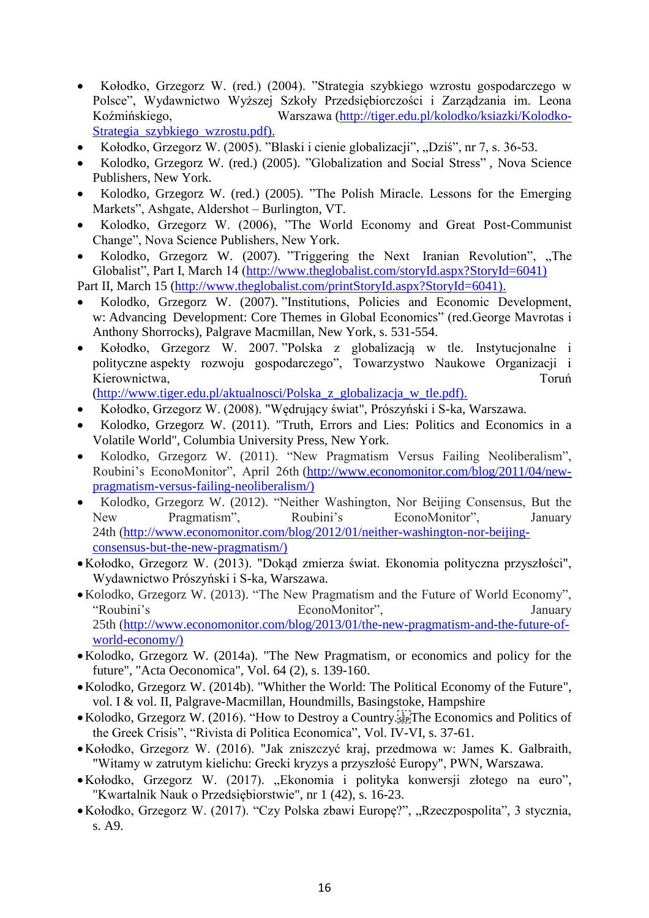- Kołodko, Grzegorz W. (red.) (2004). "Strategia szybkiego wzrostu gospodarczego w Polsce", Wydawnictwo Wyższej Szkoły Przedsiębiorczości i Zarządzania im. Leona Koźmińskiego, Warszawa [\(http://tiger.edu.pl/kolodko/ksiazki/Kolodko-](http://tiger.edu.pl/kolodko/ksiazki/Kolodko-Strategia_szybkiego_wzrostu.pdf))[Strategia\\_szybkiego\\_wzrostu.pdf\).](http://tiger.edu.pl/kolodko/ksiazki/Kolodko-Strategia_szybkiego_wzrostu.pdf))
- Kołodko, Grzegorz W. (2005). "Blaski i cienie globalizacji", "Dziś", nr 7, s. 36-53.
- Kolodko, Grzegorz W. (red.) (2005). "Globalization and Social Stress" , Nova Science Publishers, New York.
- Kolodko, Grzegorz W. (red.) (2005). "The Polish Miracle. Lessons for the Emerging Markets", Ashgate, Aldershot – Burlington, VT.
- Kolodko, Grzegorz W. (2006), "The World Economy and Great Post-Communist Change", Nova Science Publishers, New York.
- Kolodko, Grzegorz W. (2007). "Triggering the Next Iranian Revolution", "The Globalist", Part I, March 14 [\(http://www.theglobalist.com/storyId.aspx?StoryId=6041\)](http://www.theglobalist.com/storyId.aspx?StoryId=6041))
- Part II, March 15 [\(http://www.theglobalist.com/printStoryId.aspx?StoryId=6041\).](http://www.theglobalist.com/printStoryId.aspx?StoryId=6041))
- Kolodko, Grzegorz W. (2007). "Institutions, Policies and Economic Development, w: Advancing Development: Core Themes in Global Economics" (red.George Mavrotas i Anthony Shorrocks), Palgrave Macmillan, New York, s. 531-554.
- Kołodko, Grzegorz W. 2007. "Polska z globalizacją w tle. Instytucjonalne i polityczne aspekty rozwoju gospodarczego", Towarzystwo Naukowe Organizacji i Kierownictwa, Toruń a March 2008 a March 2008 a Toruń a Toruń a Toruń a Toruń a Toruń

[\(http://www.tiger.edu.pl/aktualnosci/Polska\\_z\\_globalizacja\\_w\\_tle.pdf\).](http://www.tiger.edu.pl/aktualnosci/Polska_z_globalizacja_w_tle.pdf))

- Kołodko, Grzegorz W. (2008). "Wędrujący świat", Prószyński i S-ka, Warszawa.
- Kolodko, Grzegorz W. (2011). "Truth, Errors and Lies: Politics and Economics in a Volatile World", Columbia University Press, New York.
- Kolodko, Grzegorz W. (2011). "New Pragmatism Versus Failing Neoliberalism", Roubini's EconoMonitor", April 26th [\(http://www.economonitor.com/blog/2011/04/new](http://www.economonitor.com/blog/2011/04/new-pragmatism-versus-failing-neoliberalism/))[pragmatism-versus-failing-neoliberalism/\)](http://www.economonitor.com/blog/2011/04/new-pragmatism-versus-failing-neoliberalism/))
- Kolodko, Grzegorz W. (2012). "Neither Washington, Nor Beijing Consensus, But the New Pragmatism", Roubini's EconoMonitor", January 24th [\(http://www.economonitor.com/blog/2012/01/neither-washington-nor-beijing](http://www.economonitor.com/blog/2012/01/neither-washington-nor-beijing-consensus-but-the-new-pragmatism/))[consensus-but-the-new-pragmatism/\)](http://www.economonitor.com/blog/2012/01/neither-washington-nor-beijing-consensus-but-the-new-pragmatism/))
- Kołodko, Grzegorz W. (2013). "Dokąd zmierza świat. Ekonomia polityczna przyszłości", Wydawnictwo Prószyński i S-ka, Warszawa.
- Kolodko, Grzegorz W. (2013). "The New Pragmatism and the Future of World Economy", "Roubini's EconoMonitor", January 25th [\(http://www.economonitor.com/blog/2013/01/the-new-pragmatism-and-the-future-of](http://www.economonitor.com/blog/2013/01/the-new-pragmatism-and-the-future-of-world-economy/))[world-economy/\)](http://www.economonitor.com/blog/2013/01/the-new-pragmatism-and-the-future-of-world-economy/))
- Kolodko, Grzegorz W. (2014a). "The New Pragmatism, or economics and policy for the future", "Acta Oeconomica", Vol. 64 (2), s. 139-160.
- Kolodko, Grzegorz W. (2014b). "Whither the World: The Political Economy of the Future", vol. I & vol. II, Palgrave-Macmillan, Houndmills, Basingstoke, Hampshire
- Kolodko, Grzegorz W. (2016). "How to Destroy a Country.<sup>[17]</sup>The Economics and Politics of the Greek Crisis", "Rivista di Politica Economica", Vol. IV-VI, s. 37-61.
- Kołodko, Grzegorz W. (2016). "Jak zniszczyć kraj, przedmowa w: James K. Galbraith, "Witamy w zatrutym kielichu: Grecki kryzys a przyszłość Europy", PWN, Warszawa.
- Kołodko, Grzegorz W. (2017). "Ekonomia i polityka konwersji złotego na euro", "Kwartalnik Nauk o Przedsiębiorstwie", nr 1 (42), s. 16-23.
- Kołodko, Grzegorz W. (2017). "Czy Polska zbawi Europę?", "Rzeczpospolita", 3 stycznia, s. A9.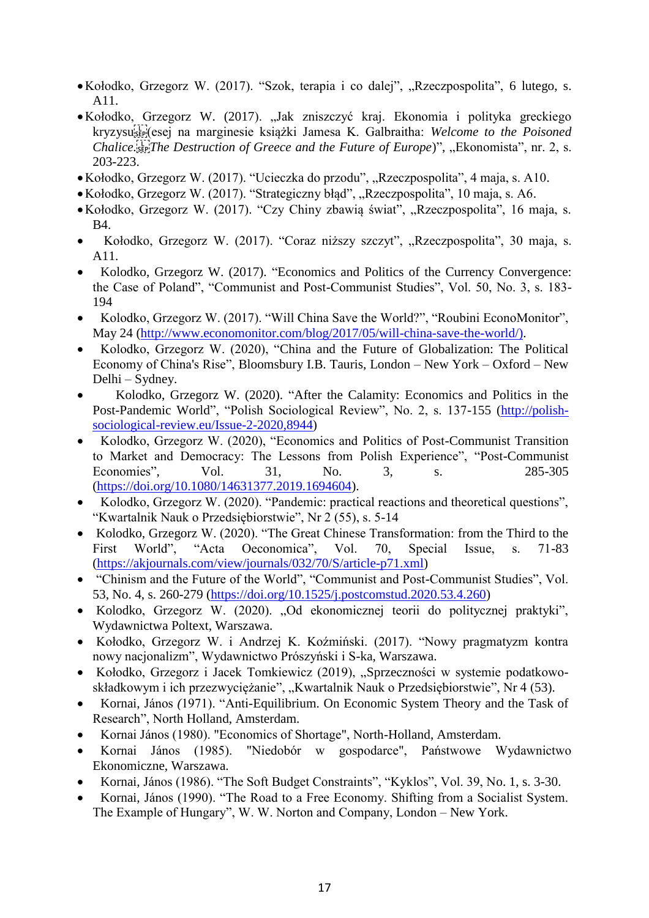- Kołodko, Grzegorz W. (2017). "Szok, terapia i co dalej", "Rzeczpospolita", 6 lutego, s. A11.
- Kołodko, Grzegorz W. (2017). "Jak zniszczyć kraj. Ekonomia i polityka greckiego kryzysu
(esej na marginesie książki Jamesa K. Galbraitha: *Welcome to the Poisoned Chalice.* Fight *Chalice.* The Destruction of Greece and the Future of Europe)", "Ekonomista", nr. 2, s. 203-223.
- Kołodko, Grzegorz W. (2017). "Ucieczka do przodu", "Rzeczpospolita", 4 maja, s. A10.
- Kołodko, Grzegorz W. (2017). "Strategiczny błąd", "Rzeczpospolita", 10 maja, s. A6.
- Kołodko, Grzegorz W. (2017). "Czy Chiny zbawią świat", "Rzeczpospolita", 16 maja, s. B4.
- Kołodko, Grzegorz W. (2017). "Coraz niższy szczyt", "Rzeczpospolita", 30 maja, s. A11.
- Kolodko, Grzegorz W. (2017). "Economics and Politics of the Currency Convergence: the Case of Poland", "Communist and Post-Communist Studies", Vol. 50, No. 3, s. 183- 194
- Kolodko, Grzegorz W. (2017). "Will China Save the World?", "Roubini EconoMonitor", May 24 [\(http://www.economonitor.com/blog/2017/05/will-china-save-the-world/\).](http://www.economonitor.com/blog/2017/05/will-china-save-the-world/))
- Kolodko, Grzegorz W. (2020), "China and the Future of Globalization: The Political Economy of China's Rise", Bloomsbury I.B. Tauris, London – New York – Oxford – New Delhi – Sydney.
- Kolodko, Grzegorz W. (2020). "After the Calamity: Economics and Politics in the Post-Pandemic World", "Polish Sociological Review", No. 2, s. 137-155 [\(http://polish](http://polish-sociological-review.eu/Issue-2-2020,8944)[sociological-review.eu/Issue-2-2020,8944\)](http://polish-sociological-review.eu/Issue-2-2020,8944)
- Kolodko, Grzegorz W. (2020), "Economics and Politics of Post-Communist Transition to Market and Democracy: The Lessons from Polish Experience", "Post-Communist Economies", Vol. 31, No. 3, s. 285-305 [\(https://doi.org/10.1080/14631377.2019.1694604\)](https://doi.org/10.1080/14631377.2019.1694604).
- Kolodko, Grzegorz W. (2020). "Pandemic: practical reactions and theoretical questions", "Kwartalnik Nauk o Przedsiębiorstwie", Nr 2 (55), s. 5-14
- Kolodko, Grzegorz W. (2020). "The Great Chinese Transformation: from the Third to the First World", "Acta Oeconomica", Vol. 70, Special Issue, s. 71-83 [\(https://akjournals.com/view/journals/032/70/S/article-p71.xml\)](https://akjournals.com/view/journals/032/70/S/article-p71.xml)
- "Chinism and the Future of the World", "Communist and Post-Communist Studies", Vol. 53, No. 4, s. 260-279 [\(https://doi.org/10.1525/j.postcomstud.2020.53.4.260\)](https://doi.org/10.1525/j.postcomstud.2020.53.4.260)
- Kolodko, Grzegorz W. (2020). "Od ekonomicznej teorii do politycznej praktyki", Wydawnictwa Poltext, Warszawa.
- Kołodko, Grzegorz W. i Andrzej K. Koźmiński. (2017). "Nowy pragmatyzm kontra nowy nacjonalizm", Wydawnictwo Prószyński i S-ka, Warszawa.
- Kołodko, Grzegorz i Jacek Tomkiewicz (2019), "Sprzeczności w systemie podatkowoskładkowym i ich przezwyciężanie", "Kwartalnik Nauk o Przedsiębiorstwie", Nr 4 (53).
- Kornai, János *(*1971). "Anti-Equilibrium. On Economic System Theory and the Task of Research", North Holland, Amsterdam.
- Kornai János (1980). "Economics of Shortage", North-Holland, Amsterdam.
- Kornai János (1985). "Niedobór w gospodarce", Państwowe Wydawnictwo Ekonomiczne, Warszawa.
- Kornai, János (1986). "The Soft Budget Constraints", "Kyklos", Vol. 39, No. 1, s. 3-30.
- Kornai, János (1990). "The Road to a Free Economy. Shifting from a Socialist System. The Example of Hungary", W. W. Norton and Company, London – New York.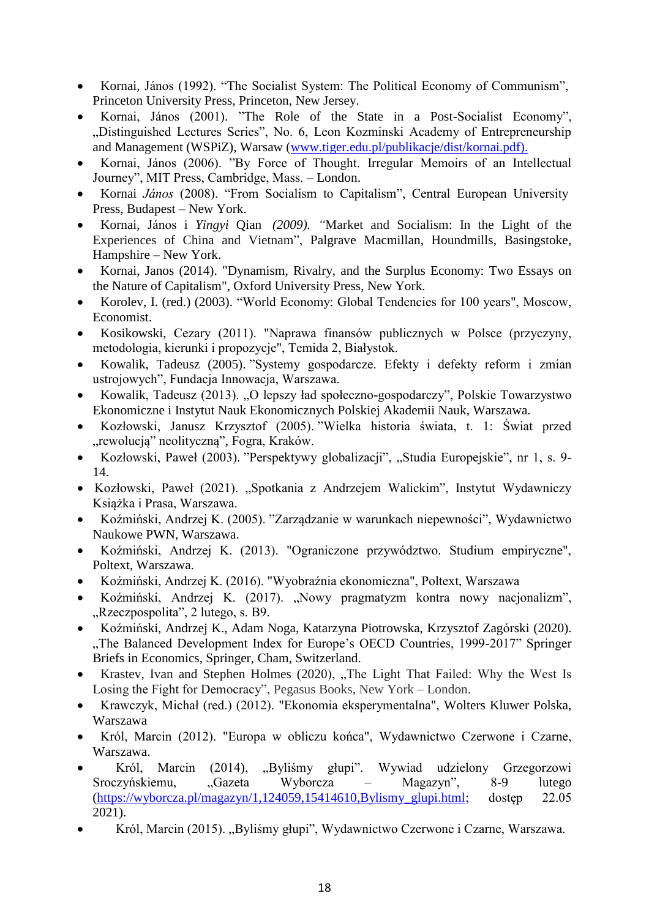- Kornai, János (1992). "The Socialist System: The Political Economy of Communism", Princeton University Press, Princeton, New Jersey.
- Kornai, János (2001). "The Role of the State in a Post-Socialist Economy", "Distinguished Lectures Series", No. 6, Leon Kozminski Academy of Entrepreneurship and Management (WSPiZ), Warsaw [\(www.tiger.edu.pl/publikacje/dist/kornai.pdf\).](http://www.tiger.edu.pl/publikacje/dist/kornai.pdf))
- Kornai, János (2006). "By Force of Thought. Irregular Memoirs of an Intellectual Journey", MIT Press, Cambridge, Mass. – London.
- Kornai *János* (2008). "From Socialism to Capitalism", Central European University Press, Budapest – New York.
- Kornai, János i *Yingyi* Qian *(2009). "*Market and Socialism: In the Light of the Experiences of China and Vietnam", Palgrave Macmillan, Houndmills, Basingstoke, Hampshire – New York.
- Kornai, Janos (2014). "Dynamism, Rivalry, and the Surplus Economy: Two Essays on the Nature of Capitalism", Oxford University Press, New York.
- Korolev, I. (red.) (2003). "World Economy: Global Tendencies for 100 years", Moscow, Economist.
- Kosikowski, Cezary (2011). "Naprawa finansów publicznych w Polsce (przyczyny, metodologia, kierunki i propozycje", Temida 2, Białystok.
- Kowalik, Tadeusz (2005). "Systemy gospodarcze. Efekty i defekty reform i zmian ustrojowych", Fundacja Innowacja, Warszawa.
- Kowalik, Tadeusz (2013). "O lepszy ład społeczno-gospodarczy", Polskie Towarzystwo Ekonomiczne i Instytut Nauk Ekonomicznych Polskiej Akademii Nauk, Warszawa.
- Kozłowski, Janusz Krzysztof (2005). "Wielka historia świata, t. 1: Świat przed "rewolucją" neolityczną", Fogra, Kraków.
- Kozłowski, Paweł (2003). "Perspektywy globalizacji", "Studia Europejskie", nr 1, s. 9-14.
- Kozłowski, Paweł (2021). "Spotkania z Andrzejem Walickim", Instytut Wydawniczy Książka i Prasa, Warszawa.
- Koźmiński, Andrzej K. (2005). "Zarządzanie w warunkach niepewności", Wydawnictwo Naukowe PWN, Warszawa.
- Koźmiński, Andrzej K. (2013). "Ograniczone przywództwo. Studium empiryczne", Poltext, Warszawa.
- Koźmiński, Andrzej K. (2016). "Wyobraźnia ekonomiczna", Poltext, Warszawa
- Koźmiński, Andrzej K. (2017). "Nowy pragmatyzm kontra nowy nacjonalizm", "Rzeczpospolita", 2 lutego, s. B9.
- Koźmiński, Andrzej K., Adam Noga, Katarzyna Piotrowska, Krzysztof Zagórski (2020). "The Balanced Development Index for Europe's OECD Countries, 1999-2017" Springer Briefs in Economics, Springer, Cham, Switzerland.
- Krastev, Ivan and Stephen Holmes (2020), "The Light That Failed: Why the West Is Losing the Fight for Democracy", Pegasus Books, New York – London.
- Krawczyk, Michał (red.) (2012). "Ekonomia eksperymentalna", Wolters Kluwer Polska, Warszawa
- Król, Marcin (2012). "Europa w obliczu końca", Wydawnictwo Czerwone i Czarne, Warszawa.
- Król, Marcin (2014), "Byliśmy głupi". Wywiad udzielony Grzegorzowi Sroczyńskiemu, "Gazeta Wyborcza – Magazyn", 8-9 lutego [\(https://wyborcza.pl/magazyn/1,124059,15414610,Bylismy\\_glupi.html;](https://wyborcza.pl/magazyn/1,124059,15414610,Bylismy_glupi.html) dostęp 22.05 2021).
- Król, Marcin (2015). "Byliśmy głupi", Wydawnictwo Czerwone i Czarne, Warszawa.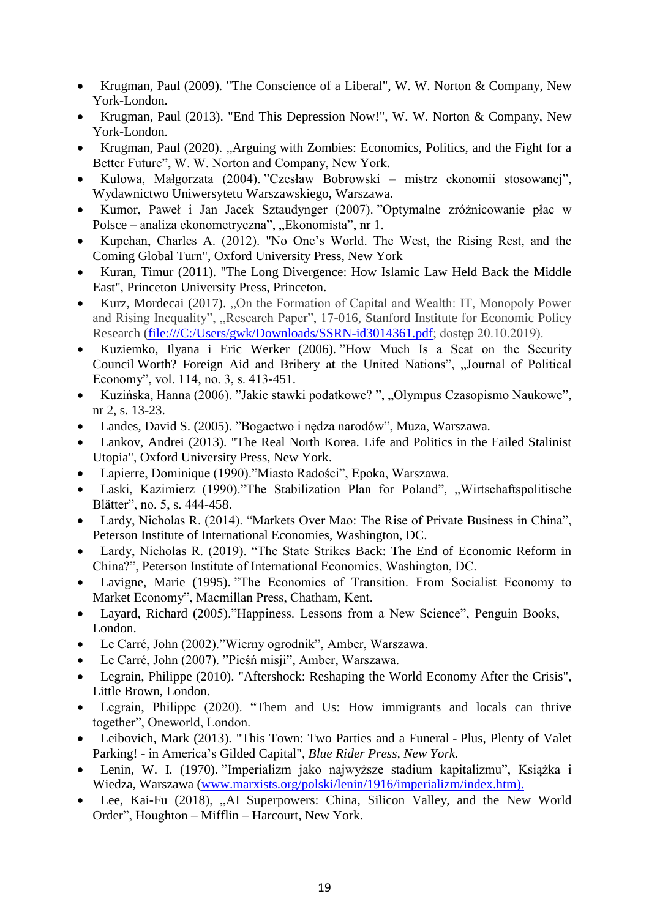- Krugman, Paul (2009). "The Conscience of a Liberal", W. W. Norton & Company, New York-London.
- Krugman, Paul (2013). "End This Depression Now!", W. W. Norton & Company, New York-London.
- Krugman, Paul (2020). "Arguing with Zombies: Economics, Politics, and the Fight for a Better Future", W. W. Norton and Company, New York.
- Kulowa, Małgorzata (2004). "Czesław Bobrowski mistrz ekonomii stosowanej", Wydawnictwo Uniwersytetu Warszawskiego, Warszawa.
- Kumor, Paweł i Jan Jacek Sztaudynger (2007). "Optymalne zróżnicowanie płac w Polsce – analiza ekonometryczna", "Ekonomista", nr 1.
- Kupchan, Charles A. (2012). "No One's World. The West, the Rising Rest, and the Coming Global Turn", Oxford University Press, New York
- Kuran, Timur (2011). "The Long Divergence: How Islamic Law Held Back the Middle East", Princeton University Press, Princeton.
- Kurz, Mordecai (2017). "On the Formation of Capital and Wealth: IT, Monopoly Power and Rising Inequality", "Research Paper", 17-016, Stanford Institute for Economic Policy Research [\(file:///C:/Users/gwk/Downloads/SSRN-id3014361.pdf;](https://kozminski-my.sharepoint.com/personal/kolodko_kozminski_edu_pl/Documents/Archiwizacja%2003.09.20/Downloads/SSRN-id3014361.pdf) dostęp 20.10.2019).
- Kuziemko, Ilyana i Eric Werker (2006). "How Much Is a Seat on the Security Council Worth? Foreign Aid and Bribery at the United Nations", "Journal of Political Economy", vol. 114, no. 3, s. 413-451.
- Kuzińska, Hanna (2006). "Jakie stawki podatkowe? ", "Olympus Czasopismo Naukowe", nr 2, s. 13-23.
- Landes, David S. (2005). "Bogactwo i nędza narodów", Muza, Warszawa.
- Lankov, Andrei (2013). "The Real North Korea. Life and Politics in the Failed Stalinist Utopia", Oxford University Press, New York.
- Lapierre, Dominique (1990)."Miasto Radości", Epoka, Warszawa.
- Laski, Kazimierz (1990)."The Stabilization Plan for Poland", "Wirtschaftspolitische Blätter", no. 5, s. 444-458.
- Lardy, Nicholas R. (2014). "Markets Over Mao: The Rise of Private Business in China", Peterson Institute of International Economies, Washington, DC.
- Lardy, Nicholas R. (2019). "The State Strikes Back: The End of Economic Reform in China?", Peterson Institute of International Economics, Washington, DC.
- Lavigne, Marie (1995). "The Economics of Transition. From Socialist Economy to Market Economy", Macmillan Press, Chatham, Kent.
- Layard, Richard (2005)."Happiness. Lessons from a New Science", Penguin Books, London.
- Le Carré, John (2002)."Wierny ogrodnik", Amber, Warszawa.
- Le Carré, John (2007). "Pieśń misji", Amber, Warszawa.
- Legrain, Philippe (2010). "Aftershock: Reshaping the World Economy After the Crisis", Little Brown, London.
- Legrain, Philippe (2020). "Them and Us: How immigrants and locals can thrive together", Oneworld, London.
- Leibovich, Mark (2013). "This Town: Two Parties and a Funeral Plus, Plenty of Valet Parking! - in America's Gilded Capital", *Blue Rider Press, New York.*
- Lenin, W. I. (1970). "Imperializm jako najwyższe stadium kapitalizmu", Książka i Wiedza, Warszawa [\(www.marxists.org/polski/lenin/1916/imperializm/index.htm\).](http://www.marxists.org/polski/lenin/1916/imperializm/index.htm))
- Lee, Kai-Fu (2018), "AI Superpowers: China, Silicon Valley, and the New World Order", Houghton – Mifflin – Harcourt, New York.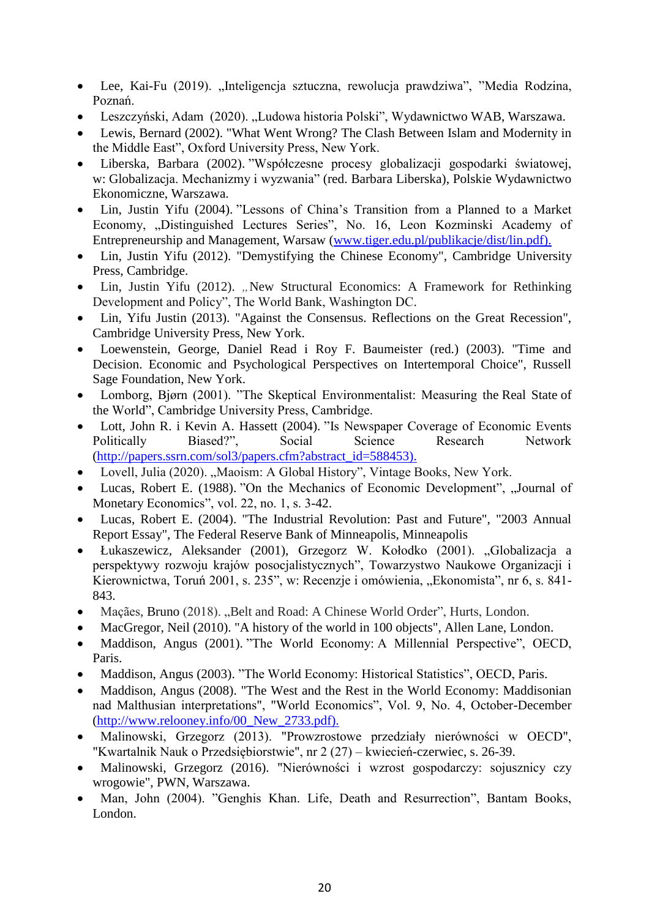- Lee, Kai-Fu (2019). "Inteligencja sztuczna, rewolucja prawdziwa", "Media Rodzina, Poznań.
- Leszczyński, Adam (2020). "Ludowa historia Polski", Wydawnictwo WAB, Warszawa.
- Lewis, Bernard (2002). "What Went Wrong? The Clash Between Islam and Modernity in the Middle East", Oxford University Press, New York.
- Liberska, Barbara (2002). "Współczesne procesy globalizacji gospodarki światowej, w: Globalizacja. Mechanizmy i wyzwania" (red. Barbara Liberska), Polskie Wydawnictwo Ekonomiczne, Warszawa.
- Lin, Justin Yifu (2004). "Lessons of China's Transition from a Planned to a Market Economy, "Distinguished Lectures Series", No. 16, Leon Kozminski Academy of Entrepreneurship and Management, Warsaw [\(www.tiger.edu.pl/publikacje/dist/lin.pdf\).](http://www.tiger.edu.pl/publikacje/dist/lin.pdf))
- Lin, Justin Yifu (2012). "Demystifying the Chinese Economy", Cambridge University Press, Cambridge.
- Lin, Justin Yifu (2012). "New Structural Economics: A Framework for Rethinking Development and Policy", The World Bank, Washington DC.
- Lin, Yifu Justin (2013). "Against the Consensus. Reflections on the Great Recession", Cambridge University Press, New York.
- Loewenstein, George, Daniel Read i Roy F. Baumeister (red.) (2003). "Time and Decision. Economic and Psychological Perspectives on Intertemporal Choice", Russell Sage Foundation, New York.
- Lomborg, Bjørn (2001). "The Skeptical Environmentalist: Measuring the Real State of the World", Cambridge University Press, Cambridge.
- Lott, John R. i Kevin A. Hassett (2004). "Is Newspaper Coverage of Economic Events Politically Biased?", Social Science Research Network [\(http://papers.ssrn.com/sol3/papers.cfm?abstract\\_id=588453\).](http://papers.ssrn.com/sol3/papers.cfm?abstract_id=588453))
- Lovell, Julia (2020). "Maoism: A Global History", Vintage Books, New York.
- Lucas, Robert E. (1988). "On the Mechanics of Economic Development", "Journal of Monetary Economics", vol. 22, no. 1, s. 3-42.
- Lucas, Robert E. (2004). "The Industrial Revolution: Past and Future", "2003 Annual Report Essay", The Federal Reserve Bank of Minneapolis, Minneapolis
- Łukaszewicz, Aleksander (2001), Grzegorz W. Kołodko (2001). "Globalizacja a perspektywy rozwoju krajów posocjalistycznych", Towarzystwo Naukowe Organizacji i Kierownictwa, Toruń 2001, s. 235", w: Recenzje i omówienia, "Ekonomista", nr 6, s. 841-843.
- Maçães, Bruno (2018). "Belt and Road: A Chinese World Order", Hurts, London.
- MacGregor, Neil (2010). "A history of the world in 100 objects", Allen Lane, London.
- Maddison, Angus (2001). "The World Economy: A Millennial Perspective", OECD, Paris.
- Maddison, Angus (2003). "The World Economy: Historical Statistics", OECD, Paris.
- Maddison, Angus (2008). "The West and the Rest in the World Economy: Maddisonian nad Malthusian interpretations", "World Economics", Vol. 9, No. 4, October-December [\(http://www.relooney.info/00\\_New\\_2733.pdf\).](http://www.relooney.info/00_New_2733.pdf))
- Malinowski, Grzegorz (2013). "Prowzrostowe przedziały nierówności w OECD", "Kwartalnik Nauk o Przedsiębiorstwie", nr 2 (27) – kwiecień-czerwiec, s. 26-39.
- Malinowski, Grzegorz (2016). "Nierówności i wzrost gospodarczy: sojusznicy czy wrogowie", PWN, Warszawa.
- Man, John (2004). "Genghis Khan. Life, Death and Resurrection", Bantam Books, London.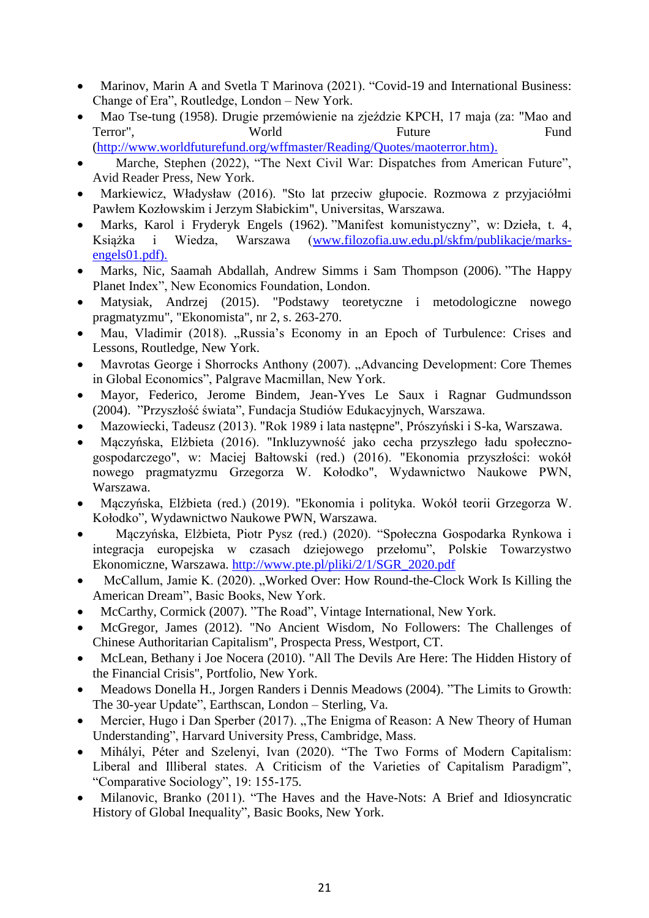- [Marinov,](https://www.routledge.com/search?author=Marin%20A%20Marinov) Marin A and [Svetla T Marinova](https://www.routledge.com/search?author=Svetla%20T%20Marinova) (2021). "Covid-19 and International Business: Change of Era", Routledge, London – New York.
- Mao Tse-tung (1958). Drugie przemówienie na zjeździe KPCH, 17 maja (za: "Mao and Terror", World Future Fund [\(http://www.worldfuturefund.org/wffmaster/Reading/Quotes/maoterror.htm\).](http://www.worldfuturefund.org/wffmaster/Reading/Quotes/maoterror.htm))
- Marche, Stephen (2022), "The Next Civil War: Dispatches from American Future", Avid Reader Press, New York.
- Markiewicz, Władysław (2016). "Sto lat przeciw głupocie. Rozmowa z przyjaciółmi Pawłem Kozłowskim i Jerzym Słabickim", Universitas, Warszawa.
- Marks, Karol i Fryderyk Engels (1962). "Manifest komunistyczny", w: Dzieła, t. 4, Książka i Wiedza, Warszawa [\(www.filozofia.uw.edu.pl/skfm/publikacje/marks](http://www.filozofia.uw.edu.pl/skfm/publikacje/marks-engels01.pdf))[engels01.pdf\).](http://www.filozofia.uw.edu.pl/skfm/publikacje/marks-engels01.pdf))
- Marks, Nic, Saamah Abdallah, Andrew Simms i Sam Thompson (2006). "The Happy Planet Index", New Economics Foundation, London.
- Matysiak, Andrzej (2015). "Podstawy teoretyczne i metodologiczne nowego pragmatyzmu", "Ekonomista", nr 2, s. 263-270.
- Mau, Vladimir (2018). "Russia's Economy in an Epoch of Turbulence: Crises and Lessons, Routledge, New York.
- Mavrotas George i Shorrocks Anthony (2007). "Advancing Development: Core Themes in Global Economics", Palgrave Macmillan, New York.
- Mayor, Federico, Jerome Bindem, Jean-Yves Le Saux i Ragnar Gudmundsson (2004). "Przyszłość świata", Fundacja Studiów Edukacyjnych, Warszawa.
- Mazowiecki, Tadeusz (2013). "Rok 1989 i lata następne", Prószyński i S-ka, Warszawa.
- Mączyńska, Elżbieta (2016). "Inkluzywność jako cecha przyszłego ładu społecznogospodarczego", w: Maciej Bałtowski (red.) (2016). "Ekonomia przyszłości: wokół nowego pragmatyzmu Grzegorza W. Kołodko", Wydawnictwo Naukowe PWN, Warszawa.
- Mączyńska, Elżbieta (red.) (2019). "Ekonomia i polityka. Wokół teorii Grzegorza W. Kołodko", Wydawnictwo Naukowe PWN, Warszawa.
- Mączyńska, Elżbieta, Piotr Pysz (red.) (2020). "Społeczna Gospodarka Rynkowa i integracja europejska w czasach dziejowego przełomu", Polskie Towarzystwo Ekonomiczne, Warszawa. [http://www.pte.pl/pliki/2/1/SGR\\_2020.pdf](http://www.pte.pl/pliki/2/1/SGR_2020.pdf)
- McCallum, Jamie K. (2020). "Worked Over: How Round-the-Clock Work Is Killing the [American Dream"](https://www.amazon.com/Worked-Over-Round-Clock-American/dp/1541618343/ref=sr_1_1?dchild=1&keywords=worked+over&qid=1612808439&s=books&sr=1-1), Basic Books, New York.
- McCarthy, Cormick (2007). "The Road", Vintage International, New York.
- McGregor, James (2012). "No Ancient Wisdom, No Followers: The Challenges of Chinese Authoritarian Capitalism", Prospecta Press, Westport, CT.
- McLean, Bethany i Joe Nocera (2010). "All The Devils Are Here: The Hidden History of the Financial Crisis", Portfolio, New York.
- Meadows Donella H., Jorgen Randers i Dennis Meadows (2004). "The Limits to Growth: The 30-year Update", Earthscan, London – Sterling, Va.
- Mercier, Hugo i Dan Sperber (2017). "The Enigma of Reason: A New Theory of Human Understanding", Harvard University Press, Cambridge, Mass.
- Mihályi, Péter and Szelenyi, Ivan (2020). "The Two Forms of Modern Capitalism: Liberal and Illiberal states. A Criticism of the Varieties of Capitalism Paradigm", "Comparative Sociology", 19: 155-175.
- Milanovic, Branko (2011). "The Haves and the Have-Nots: A Brief and Idiosyncratic History of Global Inequality", Basic Books, New York.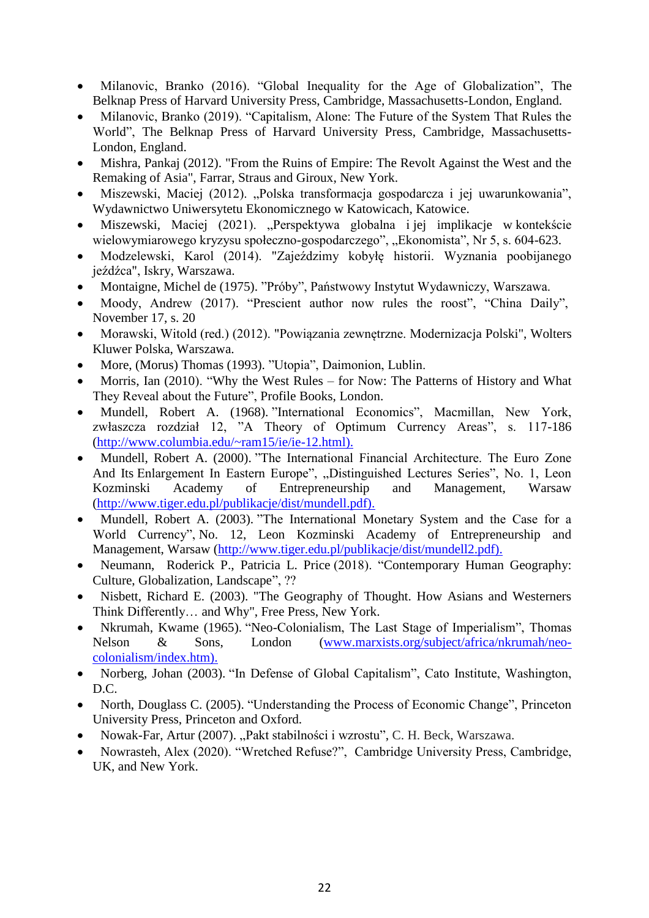- Milanovic, Branko (2016). "Global Inequality for the Age of Globalization", The Belknap Press of Harvard University Press, Cambridge, Massachusetts-London, England.
- Milanovic, Branko (2019). "Capitalism, Alone: The Future of the System That Rules the World", The Belknap Press of Harvard University Press, Cambridge, Massachusetts-London, England.
- Mishra, Pankaj (2012). "From the Ruins of Empire: The Revolt Against the West and the Remaking of Asia", Farrar, Straus and Giroux, New York.
- Miszewski, Maciej (2012). "Polska transformacja gospodarcza i jej uwarunkowania", Wydawnictwo Uniwersytetu Ekonomicznego w Katowicach, Katowice.
- Miszewski, Maciej (2021). "Perspektywa globalna i jej implikacje w kontekście wielowymiarowego kryzysu społeczno-gospodarczego", "Ekonomista", Nr 5, s. 604-623.
- Modzelewski, Karol (2014). "Zajeździmy kobyłę historii. Wyznania poobijanego jeźdźca", Iskry, Warszawa.
- Montaigne, Michel de (1975). "Próby", Państwowy Instytut Wydawniczy, Warszawa.
- Moody, Andrew (2017). "Prescient author now rules the roost", "China Daily", November 17, s. 20
- Morawski, Witold (red.) (2012). "Powiązania zewnętrzne. Modernizacja Polski", Wolters Kluwer Polska, Warszawa.
- More, (Morus) Thomas (1993). "Utopia", Daimonion, Lublin.
- Morris, Ian (2010). "Why the West Rules for Now: The Patterns of History and What They Reveal about the Future", Profile Books, London.
- Mundell, Robert A. (1968). "International Economics", Macmillan, New York, zwłaszcza rozdział 12, "A Theory of Optimum Currency Areas", s. 117-186 [\(http://www.columbia.edu/~ram15/ie/ie-12.html\).](http://www.columbia.edu/~ram15/ie/ie-12.html))
- Mundell, Robert A. (2000). "The International Financial Architecture. The Euro Zone And Its Enlargement In Eastern Europe", "Distinguished Lectures Series", No. 1, Leon Kozminski Academy of Entrepreneurship and Management, Warsaw [\(http://www.tiger.edu.pl/publikacje/dist/mundell.pdf\).](http://www.tiger.edu.pl/publikacje/dist/mundell.pdf))
- Mundell, Robert A. (2003). "The International Monetary System and the Case for a World Currency", No. 12, Leon Kozminski Academy of Entrepreneurship and Management, Warsaw [\(http://www.tiger.edu.pl/publikacje/dist/mundell2.pdf\).](http://www.tiger.edu.pl/publikacje/dist/mundell2.pdf))
- Neumann, Roderick P., [Patricia L. Price](https://www.amazon.com/s/ref=dp_byline_sr_book_2?ie=UTF8&field-author=Patricia+L.+Price&text=Patricia+L.+Price&sort=relevancerank&search-alias=books) (2018). "Contemporary Human Geography: [Culture, Globalization, Landscape"](https://www.amazon.com/Contemporary-Human-Geography-Globalization-Landscape/dp/1319059813/ref=sr_1_1?crid=1I6ZPMR1JDS0O&keywords=cultures+of+globalization&qid=1585420597&s=books&sprefix=culture+globalizat%2Cstripbooks-intl-ship%2C276&sr=1-1), ??
- Nisbett, Richard E. (2003). "The Geography of Thought. How Asians and Westerners Think Differently… and Why", Free Press, New York.
- Nkrumah, Kwame (1965). "Neo-Colonialism, The Last Stage of Imperialism", Thomas Nelson & Sons, London [\(www.marxists.org/subject/africa/nkrumah/neo](http://www.marxists.org/subject/africa/nkrumah/neo-colonialism/index.htm))[colonialism/index.htm\).](http://www.marxists.org/subject/africa/nkrumah/neo-colonialism/index.htm))
- Norberg, Johan (2003). "In Defense of Global Capitalism", Cato Institute, Washington, D.C.
- North, Douglass C. (2005). "Understanding the Process of Economic Change", Princeton University Press, Princeton and Oxford.
- Nowak-Far, Artur (2007). "Pakt stabilności i wzrostu", C. H. Beck, Warszawa.
- [Nowrasteh,](https://www.amazon.com/Alex-Nowrasteh/e/B00R07CPR2/ref=dp_byline_cont_book_1) Alex (2020). "Wretched Refuse?", Cambridge University Press, Cambridge, UK, and New York.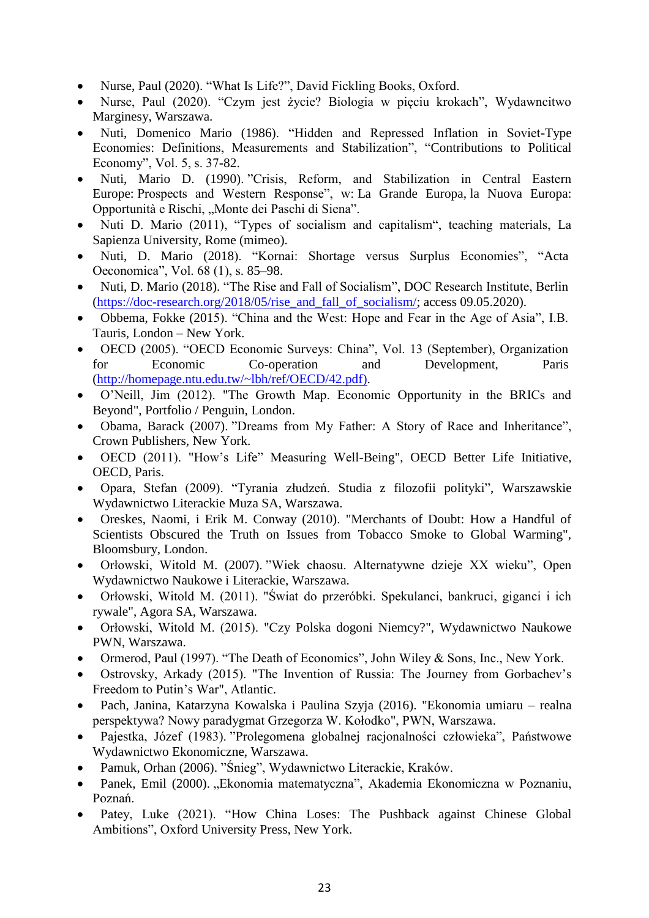- Nurse, Paul (2020). "What Is Life?", David Fickling Books, Oxford.
- Nurse, Paul (2020). "Czym jest życie? Biologia w pięciu krokach", Wydawncitwo Marginesy, Warszawa.
- Nuti, Domenico Mario (1986). "Hidden and Repressed Inflation in Soviet-Type Economies: Definitions, Measurements and Stabilization", "Contributions to Political Economy", Vol. 5, s. 37-82.
- Nuti, Mario D. (1990). "Crisis, Reform, and Stabilization in Central Eastern Europe: Prospects and Western Response", w: La Grande Europa, la Nuova Europa: Opportunità e Rischi, "Monte dei Paschi di Siena".
- Nuti D. Mario (2011), "Types of socialism and capitalism", teaching materials, La Sapienza University, Rome (mimeo).
- Nuti, D. Mario (2018). "Kornai: Shortage versus Surplus Economies", "Acta Oeconomica", Vol. 68 (1), s. 85–98.
- Nuti, D. Mario (2018). "The Rise and Fall of Socialism", DOC Research Institute, Berlin (https://doc-research.org/2018/05/rise and fall of socialism/; access 09.05.2020).
- Obbema, Fokke (2015). "China and the West: Hope and Fear in the Age of Asia", I.B. Tauris, London – New York.
- OECD (2005). "OECD Economic Surveys: China", Vol. 13 (September), Organization for Economic Co-operation and Development, Paris [\(http://homepage.ntu.edu.tw/~lbh/ref/OECD/42.pdf\).](http://homepage.ntu.edu.tw/~lbh/ref/OECD/42.pdf))
- O'Neill, Jim (2012). "The Growth Map. Economic Opportunity in the BRICs and Beyond", Portfolio / Penguin, London.
- Obama, Barack (2007). "Dreams from My Father: A Story of Race and Inheritance", Crown Publishers, New York.
- OECD (2011). "How's Life" Measuring Well-Being", OECD Better Life Initiative, OECD, Paris.
- Opara, Stefan (2009). "Tyrania złudzeń. Studia z filozofii polityki", Warszawskie Wydawnictwo Literackie Muza SA, Warszawa.
- Oreskes, Naomi, i Erik M. Conway (2010). "Merchants of Doubt: How a Handful of Scientists Obscured the Truth on Issues from Tobacco Smoke to Global Warming", Bloomsbury, London.
- Orłowski, Witold M. (2007). "Wiek chaosu. Alternatywne dzieje XX wieku", Open Wydawnictwo Naukowe i Literackie, Warszawa.
- Orłowski, Witold M. (2011). "Świat do przeróbki. Spekulanci, bankruci, giganci i ich rywale", Agora SA, Warszawa.
- Orłowski, Witold M. (2015). "Czy Polska dogoni Niemcy?", Wydawnictwo Naukowe PWN, Warszawa.
- Ormerod, Paul (1997). "The Death of Economics", John Wiley & Sons, Inc., New York.
- Ostrovsky, Arkady (2015). "The Invention of Russia: The Journey from Gorbachev's Freedom to Putin's War", Atlantic.
- Pach, Janina, Katarzyna Kowalska i Paulina Szyja (2016). "Ekonomia umiaru realna perspektywa? Nowy paradygmat Grzegorza W. Kołodko", PWN, Warszawa.
- Pajestka, Józef (1983). "Prolegomena globalnej racjonalności człowieka", Państwowe Wydawnictwo Ekonomiczne, Warszawa.
- Pamuk, Orhan (2006). "Śnieg", Wydawnictwo Literackie, Kraków.
- Panek, Emil (2000). "Ekonomia matematyczna", Akademia Ekonomiczna w Poznaniu, Poznań.
- Patey, Luke (2021). "How China Loses: The Pushback against Chinese Global Ambitions", Oxford University Press, New York.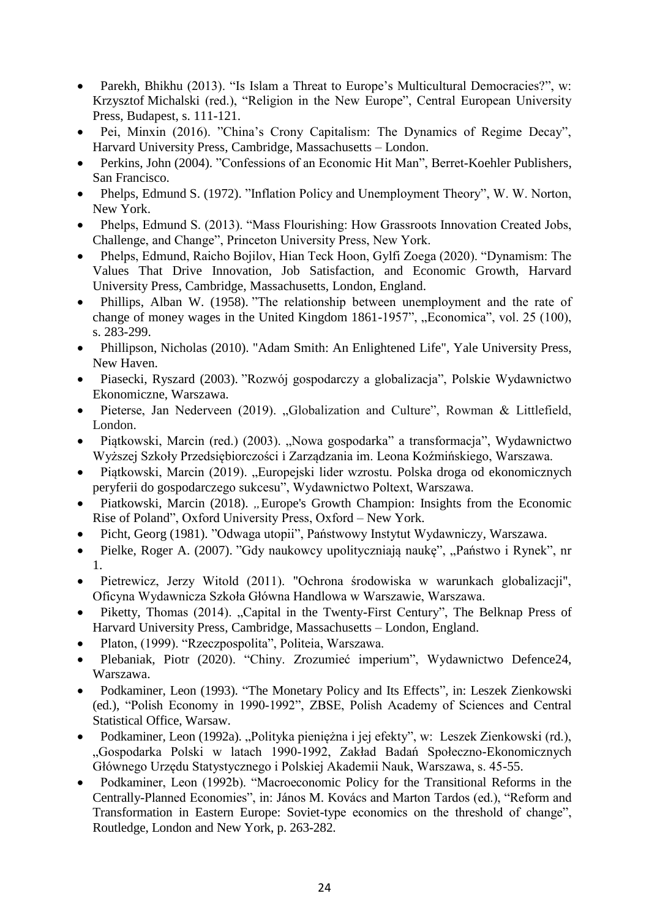- Parekh, Bhikhu (2013). "Is Islam a Threat to Europe's Multicultural Democracies?", w: Krzysztof [Michalski](http://books.openedition.org/author?name=michalski+krzysztof) (red.), "Religion in the New Europe", Central European University Press, Budapest, s. 111-121.
- Pei, Minxin (2016). "China's Crony Capitalism: The Dynamics of Regime Decay", Harvard University Press, Cambridge, Massachusetts – London.
- Perkins, John (2004). "Confessions of an Economic Hit Man", Berret-Koehler Publishers, San Francisco.
- Phelps, Edmund S. (1972). "Inflation Policy and Unemployment Theory", W. W. Norton, New York.
- Phelps, Edmund S. (2013). "Mass Flourishing: How Grassroots Innovation Created Jobs, Challenge, and Change", Princeton University Press, New York.
- Phelps, Edmund, Raicho Bojilov, Hian Teck Hoon, Gylfi Zoega (2020). "Dynamism: The Values That Drive Innovation, Job Satisfaction, and Economic Growth, Harvard University Press, Cambridge, Massachusetts, London, England.
- Phillips, Alban W. (1958). "The relationship between unemployment and the rate of change of money wages in the United Kingdom  $1861-1957$ ", "Economica", vol. 25 (100), s. 283-299.
- Phillipson, Nicholas (2010). "Adam Smith: An Enlightened Life", Yale University Press, New Haven.
- Piasecki, Ryszard (2003). "Rozwój gospodarczy a globalizacja", Polskie Wydawnictwo Ekonomiczne, Warszawa.
- Pieterse, Jan Nederveen (2019). "Globalization and Culture", Rowman & Littlefield, London.
- Piątkowski, Marcin (red.) (2003). "Nowa gospodarka" a transformacja", Wydawnictwo Wyższej Szkoły Przedsiębiorczości i Zarządzania im. Leona Koźmińskiego, Warszawa.
- Piątkowski, Marcin (2019). "Europejski lider wzrostu. Polska droga od ekonomicznych peryferii do gospodarczego sukcesu", Wydawnictwo Poltext, Warszawa.
- Piatkowski, Marcin (2018). "Europe's Growth Champion: Insights from the Economic Rise of Poland", Oxford University Press, Oxford – New York.
- Picht, Georg (1981). "Odwaga utopii", Państwowy Instytut Wydawniczy, Warszawa.
- Pielke, Roger A. (2007). "Gdy naukowcy upolityczniają naukę", "Państwo i Rynek", nr 1.
- Pietrewicz, Jerzy Witold (2011). "Ochrona środowiska w warunkach globalizacji", Oficyna Wydawnicza Szkoła Główna Handlowa w Warszawie, Warszawa.
- Piketty, Thomas (2014). "Capital in the Twenty-First Century", The Belknap Press of Harvard University Press, Cambridge, Massachusetts – London, England.
- Platon, (1999). "Rzeczpospolita", Politeia, Warszawa.
- Plebaniak, Piotr (2020). "Chiny. Zrozumieć imperium", Wydawnictwo Defence24, Warszawa.
- Podkaminer, Leon (1993). "The Monetary Policy and Its Effects", in: Leszek Zienkowski (ed.), "Polish Economy in 1990-1992", ZBSE, Polish Academy of Sciences and Central Statistical Office, Warsaw.
- Podkaminer, Leon (1992a). "Polityka pieniężna i jej efekty", w: Leszek Zienkowski (rd.), "Gospodarka Polski w latach 1990-1992, Zakład Badań Społeczno-Ekonomicznych Głównego Urzędu Statystycznego i Polskiej Akademii Nauk, Warszawa, s. 45-55.
- Podkaminer, Leon (1992b). "Macroeconomic Policy for the Transitional Reforms in the Centrally-Planned Economies", in: János M. Kovács and Marton Tardos (ed.), "Reform and Transformation in Eastern Europe: Soviet-type economics on the threshold of change", Routledge, London and New York, p. 263-282.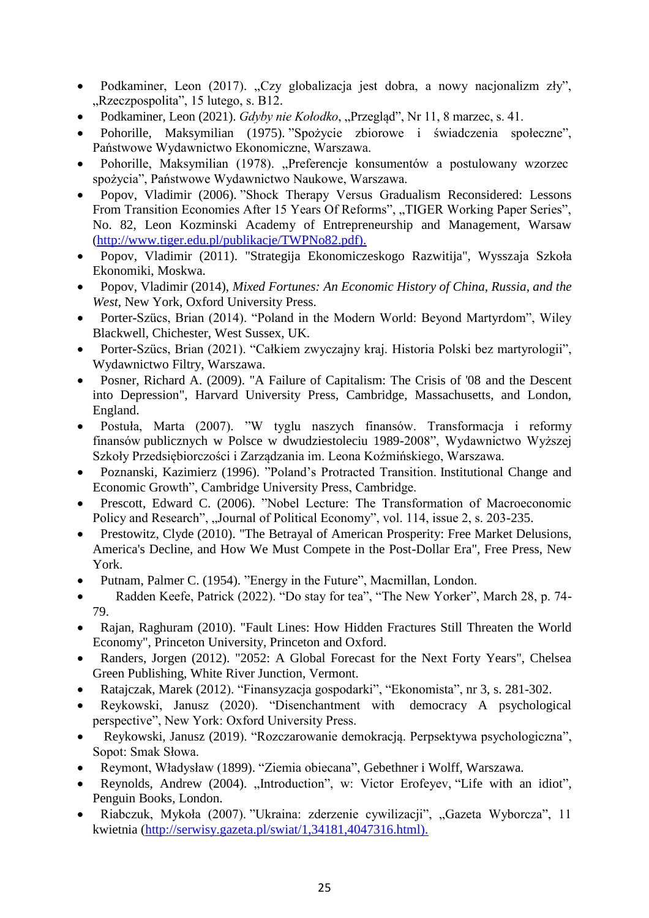- Podkaminer, Leon (2017). "Czy globalizacja jest dobra, a nowy nacjonalizm zły", "Rzeczpospolita", 15 lutego, s. B12.
- Podkaminer, Leon (2021). *Gdyby nie Kołodko*, "Przegląd", Nr 11, 8 marzec, s. 41.
- Pohorille, Maksymilian (1975). "Spożycie zbiorowe i świadczenia społeczne", Państwowe Wydawnictwo Ekonomiczne, Warszawa.
- Pohorille, Maksymilian (1978). "Preferencje konsumentów a postulowany wzorzec spożycia", Państwowe Wydawnictwo Naukowe, Warszawa.
- Popov, Vladimir (2006). "Shock Therapy Versus Gradualism Reconsidered: Lessons From Transition Economies After 15 Years Of Reforms", "TIGER Working Paper Series", No. 82, Leon Kozminski Academy of Entrepreneurship and Management, Warsaw [\(http://www.tiger.edu.pl/publikacje/TWPNo82.pdf\).](http://www.tiger.edu.pl/publikacje/TWPNo82.pdf))
- Popov, Vladimir (2011). "Strategija Ekonomiczeskogo Razwitija", Wysszaja Szkoła Ekonomiki, Moskwa.
- Popov, Vladimir (2014), *Mixed Fortunes: An Economic History of China, Russia, and the West*, New York, Oxford University Press.
- Porter-Szücs, Brian (2014). "Poland in the Modern World: Beyond Martyrdom", Wiley Blackwell, Chichester, West Sussex, UK.
- Porter-Szücs, Brian (2021). "Całkiem zwyczajny kraj. Historia Polski bez martyrologii", Wydawnictwo Filtry, Warszawa.
- Posner, Richard A. (2009). "A Failure of Capitalism: The Crisis of '08 and the Descent into Depression", Harvard University Press, Cambridge, Massachusetts, and London, England.
- Postuła, Marta (2007). "W tyglu naszych finansów. Transformacja i reformy finansów publicznych w Polsce w dwudziestoleciu 1989-2008", Wydawnictwo Wyższej Szkoły Przedsiębiorczości i Zarządzania im. Leona Koźmińskiego, Warszawa.
- Poznanski, Kazimierz (1996). "Poland's Protracted Transition. Institutional Change and Economic Growth", Cambridge University Press, Cambridge.
- Prescott, Edward C. (2006). "Nobel Lecture: The Transformation of Macroeconomic Policy and Research", "Journal of Political Economy", vol. 114, issue 2, s. 203-235.
- Prestowitz, Clyde (2010). "The Betrayal of American Prosperity: Free Market Delusions, America's Decline, and How We Must Compete in the Post-Dollar Era", Free Press, New York.
- Putnam, Palmer C. (1954). "Energy in the Future", Macmillan, London.
- Radden Keefe, Patrick (2022). "Do stay for tea", "The New Yorker", March 28, p. 74- 79.
- Rajan, Raghuram (2010). "Fault Lines: How Hidden Fractures Still Threaten the World Economy", Princeton University, Princeton and Oxford.
- Randers, Jorgen (2012). "2052: A Global Forecast for the Next Forty Years", Chelsea Green Publishing, White River Junction, Vermont.
- Ratajczak, Marek (2012). "Finansyzacja gospodarki", "Ekonomista", nr 3, s. 281-302.
- Reykowski, Janusz (2020). "Disenchantment with democracy A psychological perspective", New York: Oxford University Press.
- Reykowski, Janusz (2019). "Rozczarowanie demokracją. Perpsektywa psychologiczna", Sopot: Smak Słowa.
- Reymont, Władysław (1899). "Ziemia obiecana", Gebethner i Wolff, Warszawa.
- Reynolds, Andrew (2004). "Introduction", w: Victor Erofeyev, "Life with an idiot", Penguin Books, London.
- Riabczuk, Mykoła (2007). "Ukraina: zderzenie cywilizacji", "Gazeta Wyborcza", 11 kwietnia [\(http://serwisy.gazeta.pl/swiat/1,34181,4047316.html\).](http://serwisy.gazeta.pl/swiat/1,34181,4047316.html))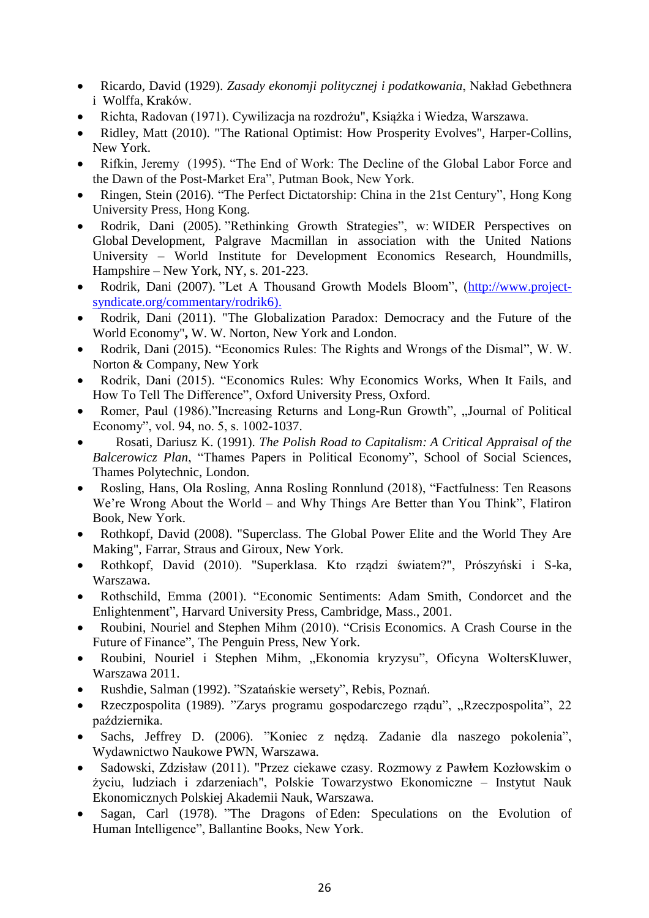- Ricardo, David (1929). *Zasady ekonomji politycznej i podatkowania*, Nakład Gebethnera i Wolffa, Kraków.
- Richta, Radovan (1971). Cywilizacja na rozdrożu", Książka i Wiedza, Warszawa.
- Ridley, Matt (2010). "The Rational Optimist: How Prosperity Evolves", Harper-Collins, New York.
- Rifkin, Jeremy (1995). "The End of Work: The Decline of the Global Labor Force and the Dawn of the Post-Market Era", Putman Book, New York.
- Ringen, Stein (2016). "The Perfect Dictatorship: China in the 21st Century", Hong Kong University Press, Hong Kong.
- Rodrik, Dani (2005). "Rethinking Growth Strategies", w: WIDER Perspectives on Global Development, Palgrave Macmillan in association with the United Nations University – World Institute for Development Economics Research, Houndmills, Hampshire – New York, NY, s. 201-223.
- Rodrik, Dani (2007). "Let A Thousand Growth Models Bloom", [\(http://www.project](http://www.project-syndicate.org/commentary/rodrik6))[syndicate.org/commentary/rodrik6\).](http://www.project-syndicate.org/commentary/rodrik6))
- Rodrik, Dani (2011). "The Globalization Paradox: Democracy and the Future of the World Economy"**,** W. W. Norton, New York and London.
- Rodrik, Dani (2015). "Economics Rules: The Rights and Wrongs of the Dismal", W. W. Norton & Company, New York
- Rodrik, Dani (2015). "Economics Rules: Why Economics Works, When It Fails, and How To Tell The Difference", Oxford University Press, Oxford.
- Romer, Paul (1986)."Increasing Returns and Long-Run Growth", "Journal of Political Economy", vol. 94, no. 5, s. 1002-1037.
- Rosati, Dariusz K. (1991). *The Polish Road to Capitalism: A Critical Appraisal of the Balcerowicz Plan*, "Thames Papers in Political Economy", School of Social Sciences, Thames Polytechnic, London.
- Rosling, Hans, Ola Rosling, Anna Rosling Ronnlund (2018), "Factfulness: Ten Reasons We're Wrong About the World – and Why Things Are Better than You Think", Flatiron Book, New York.
- Rothkopf, David (2008). "Superclass. The Global Power Elite and the World They Are Making", Farrar, Straus and Giroux, New York.
- Rothkopf, David (2010). "Superklasa. Kto rządzi światem?", Prószyński i S-ka, Warszawa.
- Rothschild, Emma (2001). "Economic Sentiments: Adam Smith, Condorcet and the Enlightenment", Harvard University Press, Cambridge, Mass., 2001.
- Roubini, Nouriel and Stephen Mihm (2010). "Crisis Economics. A Crash Course in the Future of Finance", The Penguin Press, New York.
- Roubini, Nouriel i Stephen Mihm, "Ekonomia kryzysu", Oficyna WoltersKluwer, Warszawa 2011.
- Rushdie, Salman (1992). "Szatańskie wersety", Rebis, Poznań.
- Rzeczpospolita (1989). "Zarys programu gospodarczego rządu", "Rzeczpospolita", 22 października.
- Sachs, Jeffrey D. (2006). "Koniec z nędzą. Zadanie dla naszego pokolenia", Wydawnictwo Naukowe PWN, Warszawa.
- Sadowski, Zdzisław (2011). "Przez ciekawe czasy. Rozmowy z Pawłem Kozłowskim o życiu, ludziach i zdarzeniach", Polskie Towarzystwo Ekonomiczne – Instytut Nauk Ekonomicznych Polskiej Akademii Nauk, Warszawa.
- Sagan, Carl (1978). "The Dragons of Eden: Speculations on the Evolution of Human Intelligence", Ballantine Books, New York.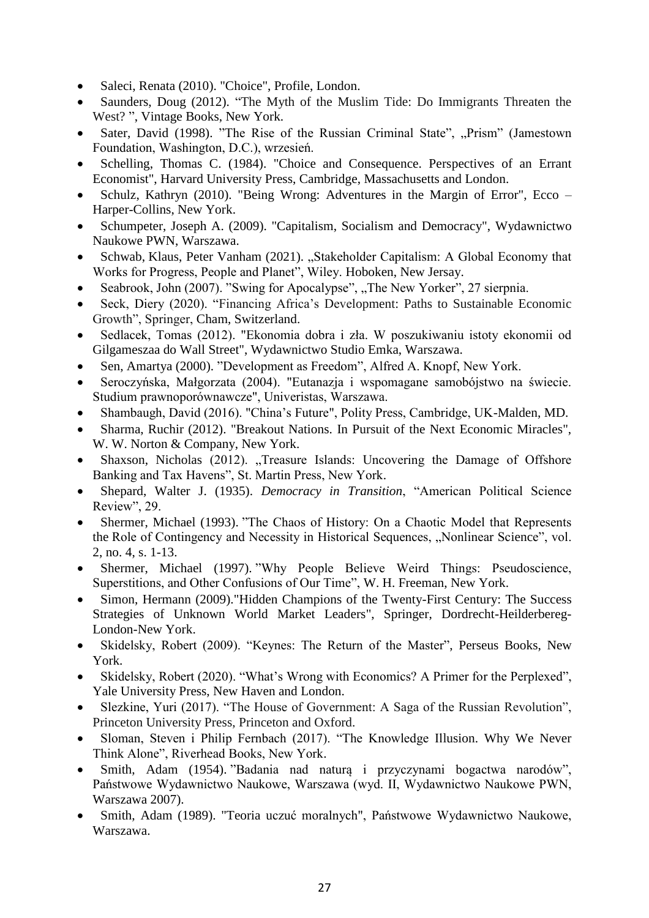- Saleci, Renata (2010). "Choice", Profile, London.
- Saunders, Doug (2012). "The Myth of the Muslim Tide: Do Immigrants Threaten the West? ", Vintage Books, New York.
- Sater, David (1998). "The Rise of the Russian Criminal State", "Prism" (Jamestown Foundation, Washington, D.C.), wrzesień.
- Schelling, Thomas C. (1984). "Choice and Consequence. Perspectives of an Errant Economist", Harvard University Press, Cambridge, Massachusetts and London.
- Schulz, Kathryn (2010). "Being Wrong: Adventures in the Margin of Error", Ecco Harper-Collins, New York.
- Schumpeter, Joseph A. (2009). "Capitalism, Socialism and Democracy", Wydawnictwo Naukowe PWN, Warszawa.
- [Schwab,](https://www.wiley.com/en-us/search?pq=%7Crelevance%7Cauthor%3AKlaus+Schwab) Klaus, Peter [Vanham \(2021\). "](https://www.wiley.com/en-us/search?pq=%7Crelevance%7Cauthor%3APeter+Vanham)Stakeholder Capitalism: A Global Economy that Works for Progress, People and Planet", Wiley. Hoboken, New Jersay.
- Seabrook, John (2007). "Swing for Apocalypse", "The New Yorker", 27 sierpnia.
- Seck, Diery (2020). "Financing Africa's Development: Paths to Sustainable Economic Growth", Springer, Cham, Switzerland.
- Sedlacek, Tomas (2012). "Ekonomia dobra i zła. W poszukiwaniu istoty ekonomii od Gilgameszaa do Wall Street", Wydawnictwo Studio Emka, Warszawa.
- Sen, Amartya (2000). "Development as Freedom", Alfred A. Knopf, New York.
- Seroczyńska, Małgorzata (2004). "Eutanazja i wspomagane samobójstwo na świecie. Studium prawnoporównawcze", Univeristas, Warszawa.
- Shambaugh, David (2016). "China's Future", Polity Press, Cambridge, UK-Malden, MD.
- Sharma, Ruchir (2012). "Breakout Nations. In Pursuit of the Next Economic Miracles", W. W. Norton & Company, New York.
- Shaxson, Nicholas (2012). "Treasure Islands: Uncovering the Damage of Offshore Banking and Tax Havens", St. Martin Press, New York.
- Shepard, Walter J. (1935). *Democracy in Transition*, "American Political Science Review", 29.
- Shermer, Michael (1993). "The Chaos of History: On a Chaotic Model that Represents the Role of Contingency and Necessity in Historical Sequences, "Nonlinear Science", vol. 2, no. 4, s. 1-13.
- Shermer, Michael (1997). "Why People Believe Weird Things: Pseudoscience, Superstitions, and Other Confusions of Our Time", W. H. Freeman, New York.
- Simon, Hermann (2009)."Hidden Champions of the Twenty-First Century: The Success Strategies of Unknown World Market Leaders", Springer, Dordrecht-Heilderbereg-London-New York.
- Skidelsky, Robert (2009). "Keynes: The Return of the Master", Perseus Books, New York.
- Skidelsky, Robert (2020). "What's Wrong with Economics? A Primer for the Perplexed", Yale University Press, New Haven and London.
- Slezkine, Yuri (2017). "The House of Government: A Saga of the Russian Revolution", Princeton University Press, Princeton and Oxford.
- Sloman, Steven i Philip Fernbach (2017). "The Knowledge Illusion. Why We Never Think Alone", Riverhead Books, New York.
- Smith, Adam (1954). "Badania nad naturą i przyczynami bogactwa narodów", Państwowe Wydawnictwo Naukowe, Warszawa (wyd. II, Wydawnictwo Naukowe PWN, Warszawa 2007).
- Smith, Adam (1989). "Teoria uczuć moralnych", Państwowe Wydawnictwo Naukowe, Warszawa.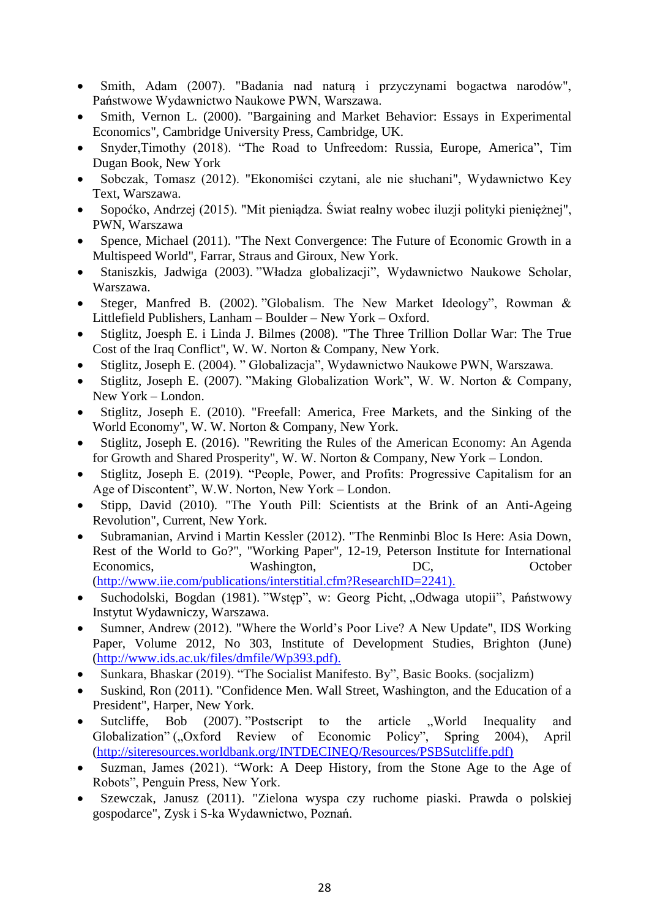- Smith, Adam (2007). "Badania nad naturą i przyczynami bogactwa narodów", Państwowe Wydawnictwo Naukowe PWN, Warszawa.
- Smith, Vernon L. (2000). "Bargaining and Market Behavior: Essays in Experimental Economics", Cambridge University Press, Cambridge, UK.
- Snyder,Timothy (2018). "The Road to Unfreedom: Russia, Europe, America", Tim Dugan Book, New York
- Sobczak, Tomasz (2012). "Ekonomiści czytani, ale nie słuchani", Wydawnictwo Key Text, Warszawa.
- Sopoćko, Andrzej (2015). "Mit pieniądza. Świat realny wobec iluzji polityki pieniężnej", PWN, Warszawa
- Spence, Michael (2011). "The Next Convergence: The Future of Economic Growth in a Multispeed World", Farrar, Straus and Giroux, New York.
- Staniszkis, Jadwiga (2003). "Władza globalizacji", Wydawnictwo Naukowe Scholar, Warszawa.
- Steger, Manfred B. (2002). "Globalism. The New Market Ideology", Rowman & Littlefield Publishers, Lanham – Boulder – New York – Oxford.
- Stiglitz, Joesph E. i Linda J. Bilmes (2008). "The Three Trillion Dollar War: The True Cost of the Iraq Conflict", W. W. Norton & Company, New York.
- Stiglitz, Joseph E. (2004). " Globalizacja", Wydawnictwo Naukowe PWN, Warszawa.
- Stiglitz, Joseph E. (2007). "Making Globalization Work", W. W. Norton & Company, New York – London.
- Stiglitz, Joseph E. (2010). "Freefall: America, Free Markets, and the Sinking of the World Economy", W. W. Norton & Company, New York.
- Stiglitz, Joseph E. (2016). "Rewriting the Rules of the American Economy: An Agenda for Growth and Shared Prosperity", W. W. Norton & Company, New York – London.
- Stiglitz, Joseph E. (2019). "People, Power, and Profits: Progressive Capitalism for an Age of Discontent", W.W. Norton, New York – London.
- Stipp, David (2010). "The Youth Pill: Scientists at the Brink of an Anti-Ageing Revolution", Current, New York.
- Subramanian, Arvind i Martin Kessler (2012). "The Renminbi Bloc Is Here: Asia Down, Rest of the World to Go?", "Working Paper", 12-19, Peterson Institute for International Economics, Washington, DC, October [\(http://www.iie.com/publications/interstitial.cfm?ResearchID=2241\).](http://www.iie.com/publications/interstitial.cfm?ResearchID=2241))
- Suchodolski, Bogdan (1981). "Wstęp", w: Georg Picht, "Odwaga utopii", Państwowy Instytut Wydawniczy, Warszawa.
- Sumner, Andrew (2012). "Where the World's Poor Live? A New Update", IDS Working Paper, Volume 2012, No 303, Institute of Development Studies, Brighton (June) [\(http://www.ids.ac.uk/files/dmfile/Wp393.pdf\).](http://www.ids.ac.uk/files/dmfile/Wp393.pdf))
- Sunkara, Bhaskar (2019). "The Socialist Manifesto. By", Basic Books. (socjalizm)
- Suskind, Ron (2011). "Confidence Men. Wall Street, Washington, and the Education of a President", Harper, New York.
- Sutcliffe, Bob (2007). "Postscript to the article "World Inequality and Globalization" ("Oxford Review of Economic Policy", Spring 2004), April [\(http://siteresources.worldbank.org/INTDECINEQ/Resources/PSBSutcliffe.pdf\)](http://siteresources.worldbank.org/INTDECINEQ/Resources/PSBSutcliffe.pdf))
- [Suzman,](https://www.amazon.com/James-Suzman/e/B074HFFQ93/ref=dp_byline_cont_book_1) James (2021). "Work: A Deep History, from the Stone Age to the Age of Robots", Penguin Press, New York.
- Szewczak, Janusz (2011). "Zielona wyspa czy ruchome piaski. Prawda o polskiej gospodarce", Zysk i S-ka Wydawnictwo, Poznań.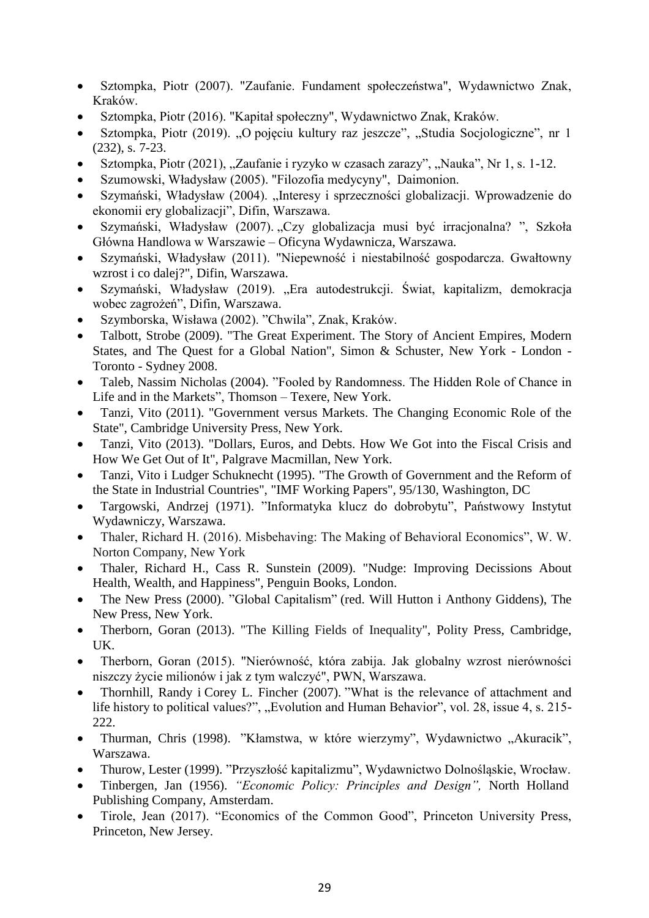- Sztompka, Piotr (2007). "Zaufanie. Fundament społeczeństwa", Wydawnictwo Znak, Kraków.
- Sztompka, Piotr (2016). "Kapitał społeczny", Wydawnictwo Znak, Kraków.
- Sztompka, Piotr (2019). "O pojęciu kultury raz jeszcze", "Studia Socjologiczne", nr 1 (232), s. 7-23.
- Sztompka, Piotr (2021), "Zaufanie i ryzyko w czasach zarazy", "Nauka", Nr 1, s. 1-12.
- Szumowski, Władysław (2005). "Filozofia medycyny", Daimonion.
- Szymański, Władysław (2004). "Interesy i sprzeczności globalizacji. Wprowadzenie do ekonomii ery globalizacji", Difin, Warszawa.
- Szymański, Władysław (2007). "Czy globalizacja musi być irracjonalna?", Szkoła Główna Handlowa w Warszawie – Oficyna Wydawnicza, Warszawa.
- Szymański, Władysław (2011). "Niepewność i niestabilność gospodarcza. Gwałtowny wzrost i co dalej?", Difin, Warszawa.
- Szymański, Władysław (2019). "Era autodestrukcji. Świat, kapitalizm, demokracja wobec zagrożeń", Difin, Warszawa.
- Szymborska, Wisława (2002). "Chwila", Znak, Kraków.
- Talbott, Strobe (2009). "The Great Experiment. The Story of Ancient Empires, Modern States, and The Quest for a Global Nation", Simon & Schuster, New York - London - Toronto - Sydney 2008.
- Taleb, Nassim Nicholas (2004). "Fooled by Randomness. The Hidden Role of Chance in Life and in the Markets", Thomson – Texere, New York.
- Tanzi, Vito (2011). "Government versus Markets. The Changing Economic Role of the State", Cambridge University Press, New York.
- Tanzi, Vito (2013). "Dollars, Euros, and Debts. How We Got into the Fiscal Crisis and How We Get Out of It", Palgrave Macmillan, New York.
- Tanzi, Vito i Ludger Schuknecht (1995). "The Growth of Government and the Reform of the State in Industrial Countries", "IMF Working Papers", 95/130, Washington, DC
- Targowski, Andrzej (1971). "Informatyka klucz do dobrobytu", Państwowy Instytut Wydawniczy, Warszawa.
- Thaler, Richard H. (2016). Misbehaving: The Making of Behavioral Economics", W. W. Norton Company, New York
- Thaler, Richard H., Cass R. Sunstein (2009). "Nudge: Improving Decissions About Health, Wealth, and Happiness", Penguin Books, London.
- The New Press (2000). "Global Capitalism" (red. Will Hutton i Anthony Giddens), The New Press, New York.
- Therborn, Goran (2013). "The Killing Fields of Inequality", Polity Press, Cambridge, UK.
- Therborn, Goran (2015). "Nierówność, która zabija. Jak globalny wzrost nierówności niszczy życie milionów i jak z tym walczyć", PWN, Warszawa.
- Thornhill, Randy i Corey L. Fincher (2007). "What is the relevance of attachment and life history to political values?", "Evolution and Human Behavior", vol. 28, issue 4, s. 215-222.
- Thurman, Chris (1998). "Kłamstwa, w które wierzymy", Wydawnictwo "Akuracik", Warszawa.
- Thurow, Lester (1999). "Przyszłość kapitalizmu", Wydawnictwo Dolnośląskie, Wrocław.
- Tinbergen, Jan (1956). *"Economic Policy: Principles and Design",* North Holland Publishing Company, Amsterdam.
- Tirole, Jean (2017). "Economics of the Common Good", Princeton University Press, Princeton, New Jersey.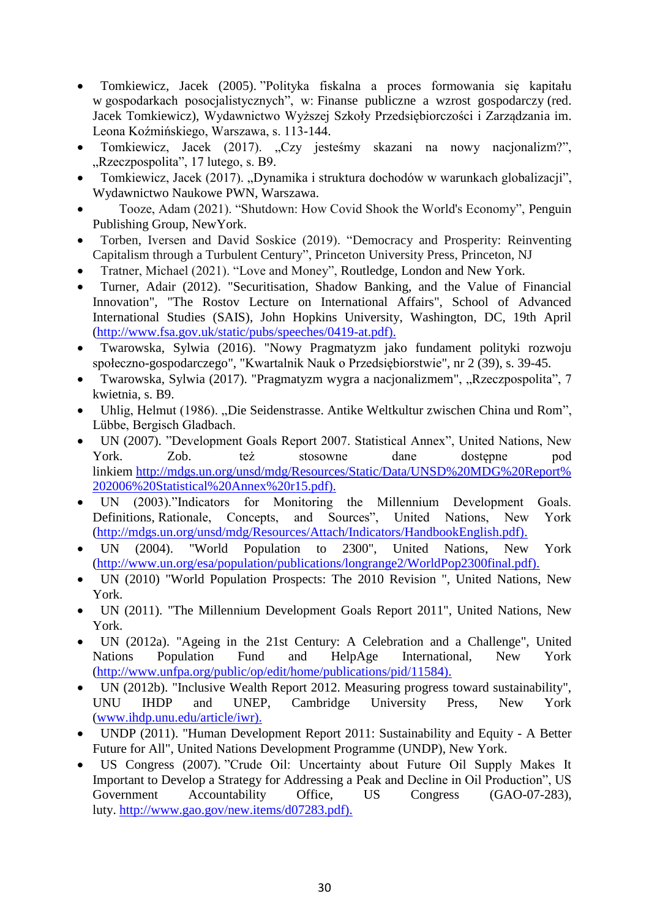- Tomkiewicz, Jacek (2005). "Polityka fiskalna a proces formowania się kapitału w gospodarkach posocjalistycznych", w: Finanse publiczne a wzrost gospodarczy (red. Jacek Tomkiewicz), Wydawnictwo Wyższej Szkoły Przedsiębiorczości i Zarządzania im. Leona Koźmińskiego, Warszawa, s. 113-144.
- Tomkiewicz, Jacek (2017). "Czy jesteśmy skazani na nowy nacjonalizm?", "Rzeczpospolita", 17 lutego, s. B9.
- Tomkiewicz, Jacek (2017). "Dynamika i struktura dochodów w warunkach globalizacji", Wydawnictwo Naukowe PWN, Warszawa.
- Tooze, Adam (2021). "Shutdown: How Covid Shook the World's Economy", [Penguin](https://www.barnesandnoble.com/s/%22Penguin+Publishing+Group%22?Ntk=Publisher&Ns=P_Sales_Rank&Ntx=mode+matchall)  [Publishing Group,](https://www.barnesandnoble.com/s/%22Penguin+Publishing+Group%22?Ntk=Publisher&Ns=P_Sales_Rank&Ntx=mode+matchall) NewYork.
- Torben, Iversen and David Soskice (2019). "Democracy and Prosperity: Reinventing Capitalism through a Turbulent Century", Princeton University Press, Princeton, NJ
- Tratner, Michael (2021). "Love and Money", Routledge, London and New York.
- Turner, Adair (2012). "Securitisation, Shadow Banking, and the Value of Financial Innovation", "The Rostov Lecture on International Affairs", School of Advanced International Studies (SAIS), John Hopkins University, Washington, DC, 19th April [\(http://www.fsa.gov.uk/static/pubs/speeches/0419-at.pdf\).](http://www.fsa.gov.uk/static/pubs/speeches/0419-at.pdf))
- Twarowska, Sylwia (2016). "Nowy Pragmatyzm jako fundament polityki rozwoju społeczno-gospodarczego", "Kwartalnik Nauk o Przedsiębiorstwie", nr 2 (39), s. 39-45.
- Twarowska, Sylwia (2017). "Pragmatyzm wygra a nacjonalizmem", "Rzeczpospolita", 7 kwietnia, s. B9.
- Uhlig, Helmut (1986). ["Die Seidenstrasse. Antike Weltkultur zwischen China und Rom"](https://www.amazon.de/Seidenstrasse-Antike-Weltkultur-zwischen-China/dp/B0038YEVGY/ref=sr_1_2?dchild=1&keywords=Die+Seidenstra%C3%9Fe+Helmut+Uhlig&qid=1589488554&s=books&sr=1-2), Lübbe, Bergisch Gladbach.
- UN (2007). "Development Goals Report 2007. Statistical Annex", United Nations, New York. Zob. też stosowne dane dostępne pod linkiem [http://mdgs.un.org/unsd/mdg/Resources/Static/Data/UNSD%20MDG%20Report%](http://mdgs.un.org/unsd/mdg/Resources/Static/Data/UNSD%20MDG%20Report%202006%20Statistical%20Annex%20r15.pdf)) [202006%20Statistical%20Annex%20r15.pdf\).](http://mdgs.un.org/unsd/mdg/Resources/Static/Data/UNSD%20MDG%20Report%202006%20Statistical%20Annex%20r15.pdf))
- UN (2003)."Indicators for Monitoring the Millennium Development Goals. Definitions, Rationale, Concepts, and Sources", United Nations, New York [\(http://mdgs.un.org/unsd/mdg/Resources/Attach/Indicators/HandbookEnglish.pdf\).](http://mdgs.un.org/unsd/mdg/Resources/Attach/Indicators/HandbookEnglish.pdf))
- UN (2004). "World Population to 2300", United Nations, New York [\(http://www.un.org/esa/population/publications/longrange2/WorldPop2300final.pdf\).](http://www.un.org/esa/population/publications/longrange2/WorldPop2300final.pdf))
- UN (2010) "World Population Prospects: The 2010 Revision ", United Nations, New York.
- UN (2011). "The Millennium Development Goals Report 2011", United Nations, New York.
- UN (2012a). "Ageing in the 21st Century: A Celebration and a Challenge", United Nations Population Fund and HelpAge International, New York [\(http://www.unfpa.org/public/op/edit/home/publications/pid/11584\).](http://www.unfpa.org/public/op/edit/home/publications/pid/11584))
- UN (2012b). "Inclusive Wealth Report 2012. Measuring progress toward sustainability", UNU IHDP and UNEP, Cambridge University Press, New York [\(www.ihdp.unu.edu/article/iwr\).](http://www.ihdp.unu.edu/article/iwr))
- UNDP (2011). "Human Development Report 2011: Sustainability and Equity A Better Future for All", United Nations Development Programme (UNDP), New York.
- US Congress (2007). "Crude Oil: Uncertainty about Future Oil Supply Makes It Important to Develop a Strategy for Addressing a Peak and Decline in Oil Production", US Government Accountability Office, US Congress (GAO-07-283), luty. [http://www.gao.gov/new.items/d07283.pdf\).](http://www.gao.gov/new.items/d07283.pdf))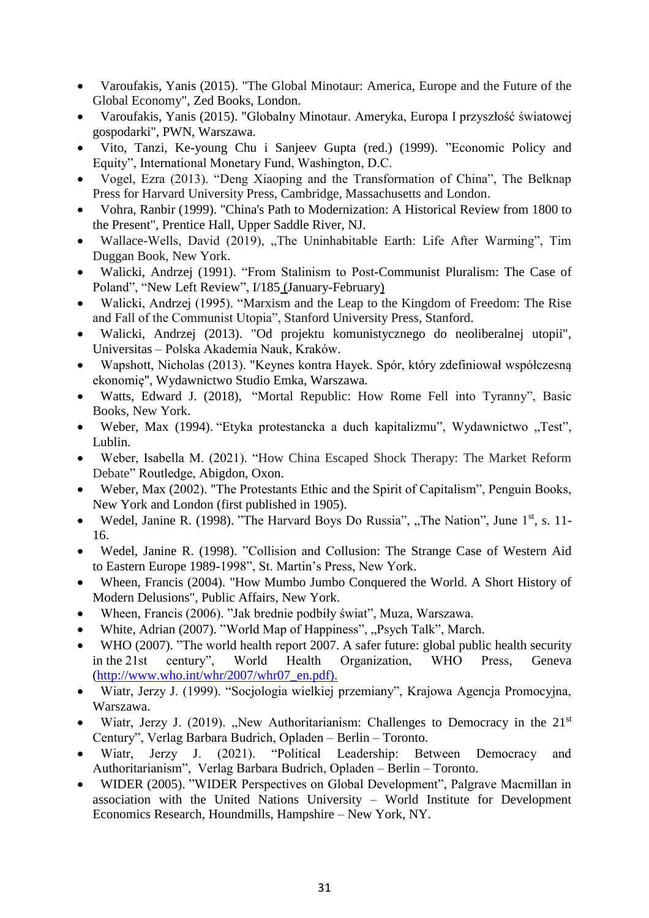- Varoufakis, Yanis (2015). "The Global Minotaur: America, Europe and the Future of the Global Economy", Zed Books, London.
- Varoufakis, Yanis (2015). "Globalny Minotaur. Ameryka, Europa I przyszłość światowej gospodarki", PWN, Warszawa.
- Vito, Tanzi, Ke-young Chu i Sanjeev Gupta (red.) (1999). "Economic Policy and Equity", International Monetary Fund, Washington, D.C.
- Vogel, Ezra (2013). "Deng Xiaoping and the Transformation of China", The Belknap Press for Harvard University Press, Cambridge, Massachusetts and London.
- Vohra, Ranbir (1999). "China's Path to Modernization: A Historical Review from 1800 to the Present", Prentice Hall, Upper Saddle River, NJ.
- Wallace-Wells, David (2019), "The Uninhabitable Earth: Life After Warming", Tim Duggan Book, New York.
- Walicki, Andrzej (1991). "From Stalinism to Post-Communist Pluralism: The Case of Poland", ["New Left Review", I/185](https://newleftreview.org/I/185) (January-February)
- Walicki, Andrzej (1995). "Marxism and the Leap to the Kingdom of Freedom: The Rise and Fall of the Communist Utopia", Stanford University Press, Stanford.
- Walicki, Andrzej (2013). "Od projektu komunistycznego do neoliberalnej utopii", Universitas – Polska Akademia Nauk, Kraków.
- Wapshott, Nicholas (2013). "Keynes kontra Hayek. Spór, który zdefiniował współczesną ekonomię", Wydawnictwo Studio Emka, Warszawa.
- [Watts,](https://www.amazon.com/s/ref=dp_byline_sr_book_1?ie=UTF8&text=Edward+J.+Watts&search-alias=books&field-author=Edward+J.+Watts&sort=relevancerank) Edward J. (2018), "Mortal Republic: How Rome Fell into Tyranny", Basic Books, New York.
- Weber, Max (1994). "Etyka protestancka a duch kapitalizmu", Wydawnictwo "Test", Lublin.
- Weber, Isabella M. (2021). "How China Escaped Shock Therapy: The Market Reform Debate" Routledge, Abigdon, Oxon.
- Weber, Max (2002). "The Protestants Ethic and the Spirit of Capitalism", Penguin Books, New York and London (first published in 1905).
- Wedel, Janine R. (1998). "The Harvard Boys Do Russia", "The Nation", June  $1<sup>st</sup>$ , s. 11-16.
- Wedel, Janine R. (1998). "Collision and Collusion: The Strange Case of Western Aid to Eastern Europe 1989-1998", St. Martin's Press, New York.
- Wheen, Francis (2004). "How Mumbo Jumbo Conquered the World. A Short History of Modern Delusions", Public Affairs, New York.
- Wheen, Francis (2006). "Jak brednie podbiły świat", Muza, Warszawa.
- White, Adrian (2007). "World Map of Happiness", "Psych Talk", March.
- WHO (2007). "The world health report 2007. A safer future: global public health security in the 21st century", World Health Organization, WHO Press, Geneva [\(http://www.who.int/whr/2007/whr07\\_en.pdf\).](http://www.who.int/whr/2007/whr07_en.pdf))
- Wiatr, Jerzy J. (1999). "Socjologia wielkiej przemiany", Krajowa Agencja Promocyjna, Warszawa.
- Wiatr, Jerzy J. (2019). "New Authoritarianism: Challenges to Democracy in the  $21<sup>st</sup>$ Century", Verlag Barbara Budrich, Opladen – Berlin – Toronto.
- Wiatr, Jerzy J. (2021). "Political Leadership: Between Democracy and Authoritarianism", Verlag Barbara Budrich, Opladen – Berlin – Toronto.
- WIDER (2005). "WIDER Perspectives on Global Development", Palgrave Macmillan in association with the United Nations University – World Institute for Development Economics Research, Houndmills, Hampshire – New York, NY.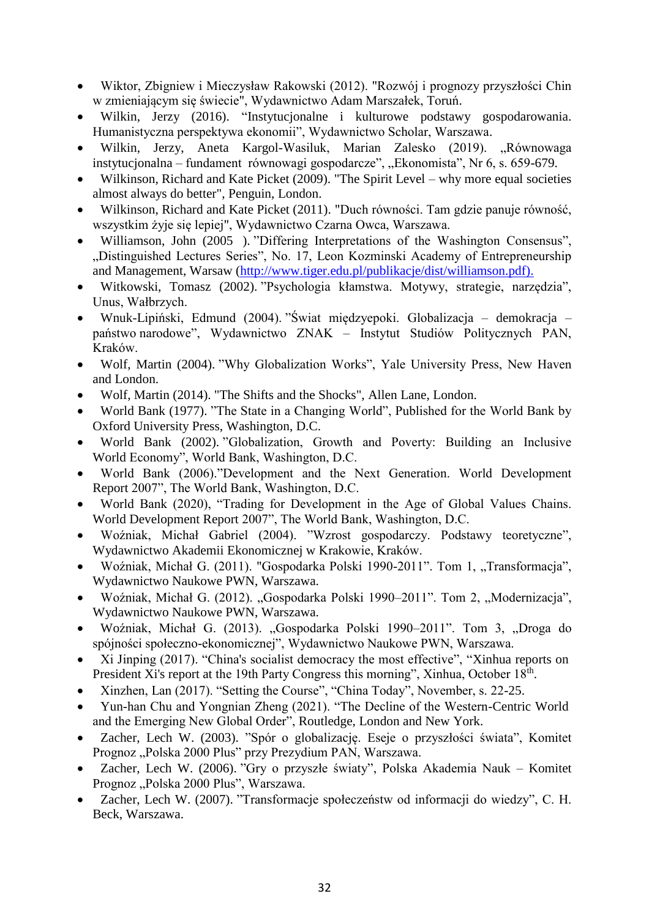- Wiktor, Zbigniew i Mieczysław Rakowski (2012). "Rozwój i prognozy przyszłości Chin w zmieniającym się świecie", Wydawnictwo Adam Marszałek, Toruń.
- Wilkin, Jerzy (2016). "Instytucjonalne i kulturowe podstawy gospodarowania. Humanistyczna perspektywa ekonomii", Wydawnictwo Scholar, Warszawa.
- Wilkin, Jerzy, Aneta Kargol-Wasiluk, Marian Zalesko (2019). "Równowaga instytucjonalna – fundament równowagi gospodarcze", "Ekonomista", Nr 6, s. 659-679.
- Wilkinson, Richard and Kate Picket (2009). "The Spirit Level why more equal societies almost always do better", Penguin, London.
- Wilkinson, Richard and Kate Picket (2011). "Duch równości. Tam gdzie panuje równość, wszystkim żyje się lepiej", Wydawnictwo Czarna Owca, Warszawa.
- Williamson, John (2005 ). "Differing Interpretations of the Washington Consensus", "Distinguished Lectures Series", No. 17, Leon Kozminski Academy of Entrepreneurship and Management, Warsaw [\(http://www.tiger.edu.pl/publikacje/dist/williamson.pdf\).](http://www.tiger.edu.pl/publikacje/dist/williamson.pdf))
- Witkowski, Tomasz (2002). "Psychologia kłamstwa. Motywy, strategie, narzędzia", Unus, Wałbrzych.
- Wnuk-Lipiński, Edmund (2004). "Świat międzyepoki. Globalizacja demokracja państwo narodowe", Wydawnictwo ZNAK – Instytut Studiów Politycznych PAN, Kraków.
- Wolf, Martin (2004). "Why Globalization Works", Yale University Press, New Haven and London.
- Wolf, Martin (2014). "The Shifts and the Shocks", Allen Lane, London.
- World Bank (1977). "The State in a Changing World", Published for the World Bank by Oxford University Press, Washington, D.C.
- World Bank (2002). "Globalization, Growth and Poverty: Building an Inclusive World Economy", World Bank, Washington, D.C.
- World Bank (2006)."Development and the Next Generation. World Development Report 2007", The World Bank, Washington, D.C.
- World Bank (2020), "Trading for Development in the Age of Global Values Chains. World Development Report 2007", The World Bank, Washington, D.C.
- Woźniak, Michał Gabriel (2004). "Wzrost gospodarczy. Podstawy teoretyczne", Wydawnictwo Akademii Ekonomicznej w Krakowie, Kraków.
- Woźniak, Michał G. (2011). "Gospodarka Polski 1990-2011". Tom 1, "Transformacja", Wydawnictwo Naukowe PWN, Warszawa.
- Woźniak, Michał G. (2012). "Gospodarka Polski 1990–2011". Tom 2, "Modernizacja", Wydawnictwo Naukowe PWN, Warszawa.
- Woźniak, Michał G. (2013). "Gospodarka Polski 1990–2011". Tom 3, "Droga do spójności społeczno-ekonomicznej", Wydawnictwo Naukowe PWN, Warszawa.
- Xi Jinping (2017). "China's socialist democracy the most effective", "Xinhua reports on President Xi's report at the 19th Party Congress this morning", Xinhua, October 18<sup>th</sup>.
- Xinzhen, Lan (2017). "Setting the Course", "China Today", November, s. 22-25.
- Yun-han Chu and Yongnian Zheng (2021). "The Decline of the Western-Centric World and the Emerging New Global Order", Routledge, London and New York.
- Zacher, Lech W. (2003). "Spór o globalizację. Eseje o przyszłości świata", Komitet Prognoz "Polska 2000 Plus" przy Prezydium PAN, Warszawa.
- Zacher, Lech W. (2006). "Gry o przyszłe światy", Polska Akademia Nauk Komitet Prognoz "Polska 2000 Plus", Warszawa.
- Zacher, Lech W. (2007). "Transformacje społeczeństw od informacji do wiedzy", C. H. Beck, Warszawa.